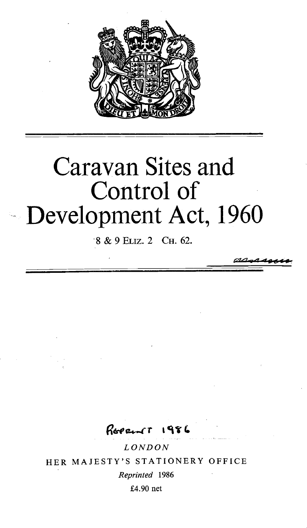

# Caravan Sites and Control of Development Act, 1960

'8 & 9 ELIZ. 2 CH. 62.

 $R$ rent  $1986$ 

LONDON HER MAJESTY'S STATIONERY OFFICE Reprinted 1986

£4.90 net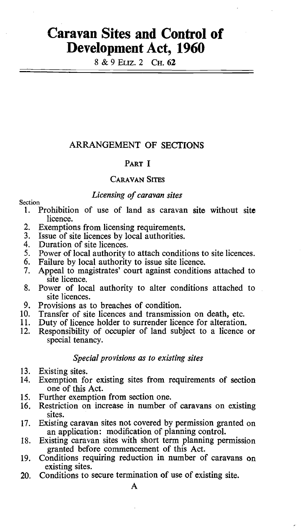# Caravan Sites and Control of Development Act, 1960

8 & 9 ELiz. 2 CH. 62

## ARRANGEMENT OF SECTIONS

## PART I

## CARAVAN SITES

## Licensing of caravan sites

**Section** 

- 1. Prohibition of use of land as caravan site without site licence.
- 2. Exemptions from licensing requirements.<br>3. Issue of site licences by local authorities.
- 3. Issue of site licences by local authorities.<br>4. Duration of site licences.
- 4. Duration of site licences.<br>5. Power of local authority
- Power of local authority to attach conditions to site licences.
- 6. Failure by local authority to issue site licence.
- Appeal to magistrates' court against conditions attached to site licence.
- 8. Power of local authority to alter conditions attached to site licences.
- 9. Provisions as to breaches of condition.<br>10. Transfer of site licences and transmissi
- 10. Transfer of site licences and transmission on death, etc.<br>11. Duty of licence holder to surrender licence for alteration.
- 11. Duty of licence holder to surrender licence for alteration.<br>12. Responsibility of occupier of land subject to a licence
- Responsibility of occupier of land subject to a licence or special tenancy.

#### Special provisions as to existing sites

- 13. Existing sites.<br>14. Exemption fo
- Exemption for existing sites from requirements of section one of this Act.
- 15. Further exemption from section one.<br>16. Restriction on increase in number c
- Restriction on increase in number of caravans on existing sites.
- 17. Existing caravan sites not covered by permission granted on an application: modification of planning control.
- 18. Existing caravan sites with short term planning permission granted before commencement of this Act.
- 19. Conditions requiring reduction in number of caravans on existing sites.
- 20. Conditions to secure termination of use of existing site.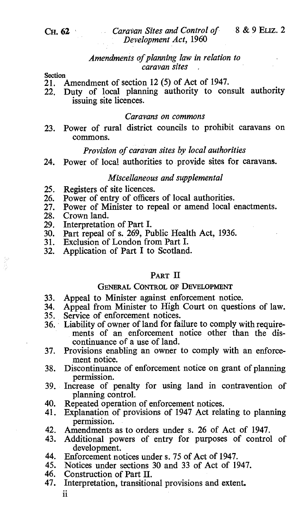## Amendments of planning law in relation to caravan sites

- Section<br> $21.7$ 21. Amendment of section 12 (5) of Act of 1947.<br>22. Duty of local planning authority to con
- Duty of local planning authority to consult authority issuing site licences.

### Caravans on commons

23. Power of rural district councils to prohibit caravans on commons.

### Provision of caravan sites by local authorities

24. Power of local authorities to provide sites for caravans.

## Miscellaneous and supplemental

- 25. Registers of site licences.<br>26. Power of entry of officer
- 26. Power of entry of officers of local authorities.<br>27. Power of Minister to repeal or amend local of
- 27. Power of Minister to repeal or amend local enactments.<br>28. Crown land.
- 
- 28. Crown land.<br>29. Interpretatio 29. Interpretation of Part I.
- Part repeal of s. 269, Public Health Act, 1936.
- 31. Exclusion of London from Part I.<br>32. Application of Part I to Scotland
- Application of Part I to Scotland.

## PART II

## GENERAL CONTROL OF DEVELOPMENT

- 33. Appeal to Minister against enforcement notice.<br>34. Appeal from Minister to High Court on question
- 34. Appeal from Minister to High Court on questions of law.<br>35. Service of enforcement notices.
- 35. Service of enforcement notices.<br>36. Liability of owner of land for fa
- Liability of owner of land for failure to comply with requirements of an enforcement notice other than the discontinuance of a use of land.
- 37. Provisions enabling an owner to comply with an enforcement notice.
- 38. Discontinuance of enforcement notice on grant of planning permission.
- 39. Increase of penalty for using land in contravention of planning control.
- 40. Repeated operation of enforcement notices.<br>41. Explanation of provisions of 1947 Act rela
- Explanation of provisions of 1947 Act relating to planning permission.
- 42. Amendments as to orders under s. 26 of Act of 1947.<br>43. Additional powers of entry for purposes of control
- Additional powers of entry for purposes of control of development.
- 44. Enforcement notices under s. 75 of Act of 1947.<br>45. Notices under sections 30 and 33 of Act of 19
- 45. Notices under sections 30 and 33 of Act of 1947.<br>46. Construction of Part II.
- 46. Construction of Part II.<br>47. Interpretation, transition
- Interpretation, transitional provisions and extent.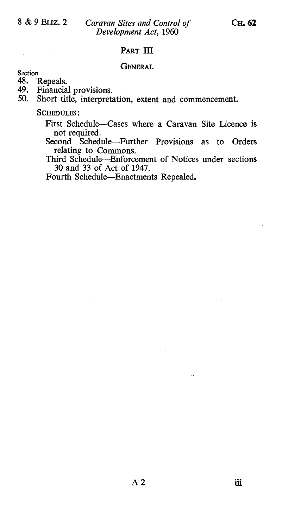## PART III

#### **GENERAL**

**Section** 

÷,

48. 'Repeals.

- 49. Financial provisions.
- 50. Short title, interpretation, extent and commencement.

SCHEDULES :

First Schedule-Cases where a Caravan Site Licence is not required.

Second Schedule-Further Provisions as to Orders relating to Commons.

Third Schedule-Enforcement of Notices under sections 30 and 33 of Act of 1947.

Fourth Schedule-Enactments Repealed.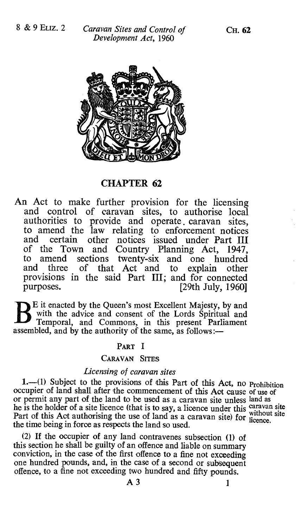

## CHAPTER 62

An Act to make further provision for the licensing and control of caravan sites, to authorise local authorities to provide and operate, caravan sites, to amend the law relating to enforcement notices and certain other notices issued under Part III of the Town and Country Planning Act, 1947,<br>to amend sections twenty-six and one hundred to amend sections twenty-six and one hundred and three of that Act and to explain other provisions in the said Part III; and for connected purposes. [29th July, 1960]

E it enacted by the Queen's most Excellent Majesty, by and with the advice and consent of the Lords Spiritual and Temporal, and Commons, in this present Parliament assembled, and by the authority of the same, as follows:—

## PART I

## CARAVAN SITES

### Licensing of caravan sites

1.-(1) Subject to the provisions of this Part of this Act, no Prohibition occupier of land shall after the commencement of this Act cause of use of or permit any part of the land to be used as a caravan site unless land as or permit any part of the land to be used as a caravan site unless land as<br>he is the holder of a site licence (that is to say, a licence under this caravan site Part of this Act authorising the use of land as a caravan site) for  $l_{\text{icence}}$ the time being in force as respects the land so used.

(2) If the occupier of any land contravenes subsection (1) of this section he shall be guilty of an offence and liable on summary conviction, in the case of the first offence to a fine not exceeding one hundred pounds, and, in the case of a second or subsequent offence, to a fine not exceeding two hundred and fifty pounds.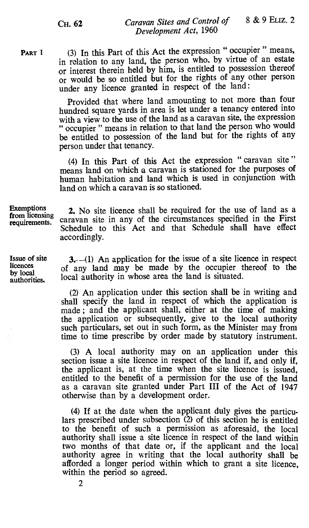PART I

(3) In this Part of this Act the expression " occupier " means, in relation to any land, the person who, by virtue of an estate or interest therein held by him, is entitled to possession thereof or would be so entitled but for the rights of any other person under any licence granted in respect of the land :

Provided that where land amounting to not more than four hundred square yards in area is let under a tenancy entered into with a view to the use of the land as a caravan site, the expression " occupier " means in relation to that land the person who would be entitled to possession of the land but for the rights of any person under that tenancy.

(4) In this Part of this Act the expression " caravan site " means land on which a caravan is stationed for the purposes of human habitation and land which is used in conjunction with land on which a caravan is so stationed.

Exemptions from licensing requirements.

Issue of site licences by local authorities.

2. No site licence shall be required for the use of land as <sup>a</sup> caravan site in any of the circumstances specified in the First Schedule to this Act and that Schedule shall have effect accordingly.

3.--(1) An application for the issue of a site licence in respect of any land may be made by the occupier thereof to the local authority in whose area the land is situated.

(2) An application under this section shall be in writing and shall specify the land in respect of which the application is made; and the applicant shall, either at the time of making the application or subsequently, give to the local authority such particulars, set out in such form, as the Minister may from time to time prescribe by order made by statutory instrument.

(3) A local authority may on an application under this section issue a site licence in respect of the land if, and only if, the applicant is, at the time when the site licence is issued, entitled to the benefit of a permission for the use of the land as a caravan site granted under Part III of the Act of 1947 otherwise than by a development order.

(4) If at the date when the applicant duly gives the particulars prescribed under subsection  $(2)$  of this section he is entitled to the benefit of such a permission as aforesaid, the local authority shall issue a site licence in respect of the land within two months of that date or, if the applicant and the local authority agree in writing that the local authority shall be afforded a longer period within which to grant a site licence, within the period so agreed.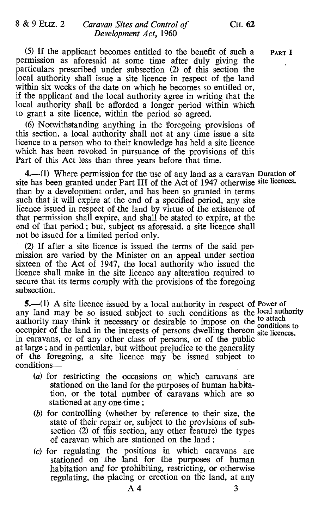(5) If the applicant becomes entitled to the benefit of such a permission as aforesaid at some time after duly giving the particulars prescribed under subsection (2) of this section the local authority shall issue a site licence in respect of the land within six weeks of the date on which he becomes so entitled or, if the applicant and the local authority agree in writing that the local authority shall be afforded a longer period within which to grant a site licence, within the period so agreed.

,(6) Notwithstanding anything in the foregoing provisions of this section, a local authority shall not at any time issue a site licence to a person who to their knowledge has held a site licence which has been revoked. in pursuance of the provisions of this Part of this Act less than three years before that time.

 $4.$ — $(1)$  Where permission for the use of any land as a caravan Duration of site has been granted under Part III of the Act of 1947 otherwise site licences. than by a development order, and has been so granted in terms such that it will expire at the end of a specified period, any site licence issued in respect of the land by virtue of the existence of that permission shall expire, and shall be stated to expire, at the end of that period ; but, subject as aforesaid, a site licence shall not be issued for a limited period only.

(2) If after a site licence is issued the terms of the said permission are varied by the Minister on an appeal under section sixteen of the Act of 1947, the local authority who issued the licence shall make in the site licence any alteration required to secure that its terms comply with the provisions of the foregoing subsection.

 $5-(1)$  A site licence issued by a local authority in respect of Power of any land may be so issued subject to such conditions as the  $\log$  authority authority may think it necessary or desirable to impose on the  $_{\text{condit}}^{\text{to attra}}$ occupier of the land in the interests of persons dwelling thereon  $\frac{\text{count}}{\text{site}}$ in caravans, or of any other class of persons, or of the public at large ; and in particular, but without prejudice to the generality of the foregoing, a site licence may be issued subject to conditions to attach conditions to site licences.

- (a) for restricting the occasions on which caravans are stationed on the land for the purposes of human habitation, or the total number of caravans which are so stationed at any one time ;
- (b) for controlling (whether by reference to their size, the state of their repair or, subject to the provisions of subsection (2) of this section, any other feature) the types of caravan which are stationed on the land ;
- (c) for regulating the positions in which caravans are stationed on the land for the purposes of human habitation and for prohibiting, restricting, or otherwise regulating, the placing or erection on the land, at any

PART I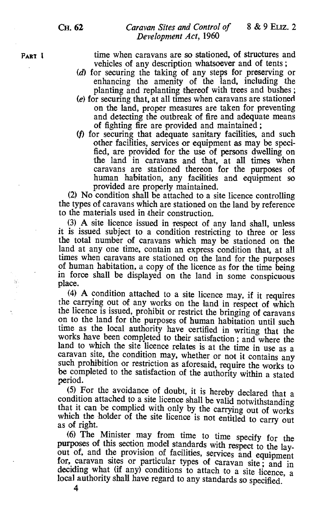PART I

time when caravans are so stationed, of structures and vehicles of any description whatsoever and of tents ;

- (d) for securing the taking of any steps for preserving or enhancing the amenity of the land, including the planting and replanting thereof with trees and bushes ;
- (e) for securing that, at all times when caravans are stationed on the land, proper measures are taken for preventing and detecting the outbreak of fire and adequate means of fighting fire are provided and maintained ;
- (f) for securing that adequate sanitary facilities, and such other facilities, services or equipment as may be specified, are provided for the use of persons dwelling on the land in caravans and that, at all times when caravans are stationed thereon for the purposes of human habitation, any facilities and equipment so

provided are properly maintained.<br>(2) No condition shall be attached to a site licence controlling the types of caravans which are stationed on the land by reference to the materials used in their construction.

(3) A site licence issued in respect of any land shall, unless it is issued subject to a condition restricting to three or less the total number of caravans which may be stationed on the land at any one time, contain an express condition that, at all times when caravans are stationed on the land for the purposes of human habitation, a copy of the licence as for the time being in force shall be displayed on the land in some conspicuous place.

(4) A condition attached to a site licence may, if it requires the carrying out of any works on the land in respect of which the licence is issued, prohibit or restrict the bringing of caravans time as the local authority have certified in writing that the works have been completed to their satisfaction; and where the land to which the site licence relates is at the time in use as a caravan site, the condition ma such prohibition or restriction as aforesaid, require the works to be completed to the satisfaction of the authority within a stated period.<br>
(5) For the avoidance of doubt, it is hereby declared that a

condition attached to a site licence shall be valid notwithstanding<br>that it can be complied with only by the carrying out of works<br>which the holder of the site licence is not entitled to carry out as of right.

(6) The Minister may from time to time specify for the out of, and the provision of facilities, services and equipment<br>for, caravan sites or particular types of caravan site; and in<br>deciding what (if any) conditions to attach to a site licence, a<br>local authority shall have reg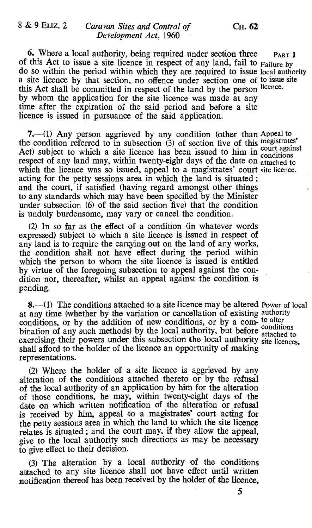## 8 & 9 ELIZ. 2 Caravan Sites and Control of CH. 62 Development Act, 1960

6. Where a local authority, being required under section three PART I of this Act to issue a site licence in respect of any land, fail to Failure by do so within the period within which they are required to issue local authority a site licence by that section, no offence under section one of to issue site this Act shall be committed in respect of the land by the person licence. by whom the application for the site licence was made at any time after the expiration of the said period and before a site licence is issued in pursuance of the said application.

7.-(1) Any person aggrieved by any condition (other than Appeal to the condition referred to in subsection (3) of section five of this magistrates' Act) subject to which a site licence has been issued to him in conditions respect of any land may, within twenty-eight days of the date on attached to which the licence was so issued, appeal to a magistrates' court site licence. acting for the petty sessions area in which the land is situated ; and the court, if satisfied (having regard amongst other things to any standards which may have been specified by the Minister under subsection (6) of the said section five) that the condition is unduly burdensome, may vary or cancel the condition.

(2) In so far as the effect of a condition (in whatever words expressed) subject to which a site licence is issued in respect of any land is to require the carrying out on the land of any works, the condition shall not have effect during the period within which the person to whom the site licence is issued is entitled by virtue of the foregoing subsection to appeal against the condition nor, thereafter, whilst an appeal against the condition is pending.

8.—(1) The conditions attached to a site licence may be altered Power of local at any time (whether by the variation or cancellation of existing authority conditions, or by the addition of new conditions, or by a com- to alter bination of any such methods) by the local authority, but before attached to exercising their powers under this subsection the local authority site licences. shall afford to the holder of the licence an opportunity of making representations.

(2) Where the holder of a site licence is aggrieved by any alteration of the conditions attached thereto or by the refusal of the local authority of an application by him for the alteration of those conditions, he may, within twenty-eight days of the date on which written notification of the alteration or refusal is received by him, appeal to a magistrates' court acting for the petty sessions area in which the land to which the site licence relates is situated ; and the court may, if they allow the appeal, give to the local authority such directions as may be necessary to give effect to their decision.

(3) The alteration by a local authority of the conditions attached to any site licence shall not have effect until written notification thereof has been received by the holder of the licence,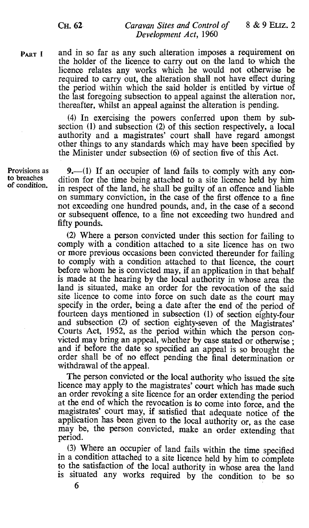## CH. 62 Caravan Sites and Control of 8 & 9 ELIZ. 2 Development Act, 1960

PART I

and in so far as any such alteration imposes a requirement on the holder of the licence to carry out on the land to which the licence relates any works which he would not otherwise be required to carry out, the alteration shall not have effect during the period within which the said holder is entitled by virtue of the last foregoing subsection to appeal against the alteration nor, thereafter, whilst an appeal against the alteration is pending.

(4) In exercising the powers conferred upon them by subsection (1) and subsection (2) of this section respectively, a local authority and a magistrates' court shall have regard amongst other things to any standards which may have been specified by the Minister under subsection (6) of section five of this Act.

 $9$ .  $(1)$  If an occupier of land fails to comply with any condition for the time being attached to a site licence held by him in respect of the land, he shall be guilty of an offence and liable on summary conviction, in the case of the first offence to a fine not exceeding one hundred pounds, and, in the case of a second or subsequent offence, to a fine not exceeding two hundred and fifty pounds.

(2) Where a person convicted under this section for failing to comply with a condition attached to a site licence has on two or more previous occasions been convicted thereunder for failing to comply with a condition attached to that licence, the court before whom he is convicted may, if an application in that behalf is made at the hearing by the local authority in whose area the land is situated, make an order for the revocation of the said site licence to come into force on such date as the court may specify in the order, being a date after the end of the period of fourteen days mentioned in subsection (1) of section eighty-four and subsection (2) of section eighty-seven of the Magistrates' Courts Act, 1952, as the period within which the person convicted may bring an appeal, whether by case stated or otherwise : and if before the date so specified an appeal is so brought the order shall be of no effect pending the final determination or withdrawal of the appeal.

The person convicted or the local authority who issued the site licence may apply to the magistrates' court which has made such an order revoking a site licence for an order extending the period at the end of which the revocation is to come into force, and the magistrates' court may, if satisfied that adequate notice of the application has been given to the local authority or, as the case may be, the person convicted, make an order extending that period.

(3) Where an occupier of land fails within the time specified in a condition attached to a site licence held by him to complete to the satisfaction of the local authority in whose area the land is situated any works required by the condition. to be so

Provisions as to breaches of condition.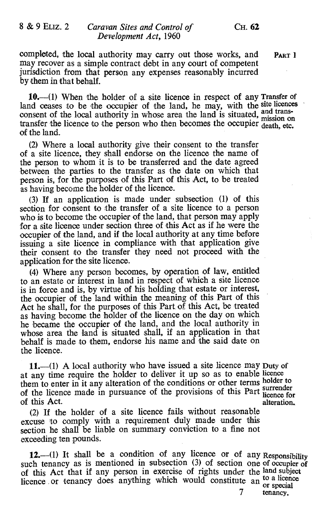completed, the local authority may carry out those works, and PART I may recover as a simple contract debt in any court of competent jurisdiction from that person any expenses reasonably incurred by them in that behalf.

10.-(1) When the holder of a site licence in respect of any Transfer of land ceases to be the occupier of the land, he may, with the site licences consent of the local authority in whose area the land is situated,  $_{\rm mission\; on}$ transfer the licence to the person who then becomes the occupier  $\eta$  death, etc. of the land.

(2) Where a local authority give their consent to the transfer of a site licence, they shall endorse on the licence the name of the person to whom it is to be transferred and the date agreed between the parties to the transfer as the date on which that person is, for the purposes of this Part of this Act, to be treated as having become the holder of the licence.

(3) If an application is made under subsection (1) of this section for consent to the transfer of a site licence to a person who is to become the occupier of the land, that person may apply for a site licence under section three of this Act as if he were the occupier of the land, and if the local authority at any time before issuing a site licence in compliance with that application give their consent to the transfer they need not proceed with the application for the site licence.

(4) Where any person becomes, by operation of law, entitled to an estate or interest in land in respect of which a site licence is in force and is, by virtue of his holding that estate or interest, the occupier of the land within the meaning of this Part of this Act he shall, for the purposes of this Part. of this Act, be treated as having become the holder of the licence on the day on which he became the occupier of the land, and the local authority in whose area the land is situated shall, if an application in that behalf is made to them, endorse his name and the said date on the licence.

 $11$ .—(1) A local authority who have issued a site licence may Duty of at any time require the holder to deliver it up so as to enable licence them to enter in it any alteration of the conditions or other terms holder to them to enter in it any alteration of the conditions of other terms surrender<br>of the licence made in pursuance of the provisions of this Part surrender<br>of this Act. alteration,

(2) If the holder of a site licence fails without reasonable excuse to comply with a requirement duly made under this section he shall be liable on summary conviction to a fine not exceeding ten pounds.

 $12$ .--(1) It shall be a condition of any licence or of any Responsibility such tenancy as is mentioned in subsection (3) of section one of occupier of of this Act that if any person in exercise of rights under the land subject licence or tenancy does anything which would constitute an to a licence or special

7 tenancy.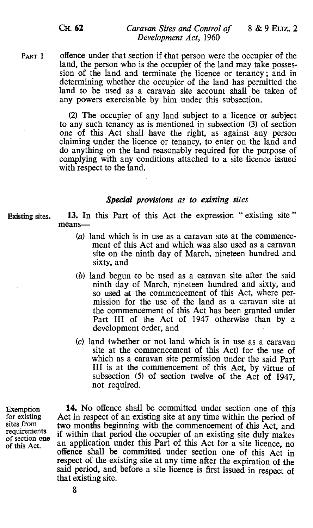## CH. 62 Caravan Sites and Control of 8 & 9 ELIZ. 2 Development Act, 1960

PART I offence under that section if that person were the occupier of the land, the person who is the occupier of the land may take possession of the land and terminate the licence or tenancy ; and in determining whether the occupier of the land has permitted the land to be used as a caravan site account shall be taken of any powers exercisable by him under this subsection.

> (2) The occupier of any land subject to a licence or subject to any such tenancy as is mentioned in subsection (3) of section one of this Act shall have the right, as against any person claiming under the licence or tenancy, to enter on the land and do anything on the land reasonably required for the purpose of complying with any conditions attached to a site licence issued with respect to the land.

#### Special provisions as to existing sites

Existing sites. 13. In this Part of this Act the expression " existing site " means-

- (a) land which is in use as a caravan site at the commencement of this Act and which was also used as a caravan site on the ninth day of March, nineteen hundred and sixty, and
- (b) land begun to be used as a caravan site after the said ninth day of March, nineteen hundred and sixty, and so used at the commencement of this Act, where permission for the use of the land as a caravan site at the commencement of this Act has been granted under Part III of the Act of 1947 otherwise than by a development order, and
- (c) land (whether or not land which is in use as a caravan site at the commencement of this Act) for the use of which as a caravan site permission under the said Part III is at the commencement of this Act, by virtue of subsection (5) of section twelve of the Act of 1947, not required.

Exemption for existing sites from requirements of section one of this Act.

14. No offence shall be committed under section one of this Act in respect of an existing site at any time within the period of two months beginning with the commencement of this Act, and if within that period the occupier of an existing site duly makes an application under this Part of this Act for a site licence, no offence shall be committed under section one of this Act in respect of the existing site at any time after the expiration of the said period, and before a site licence is first issued in respect of that existing site.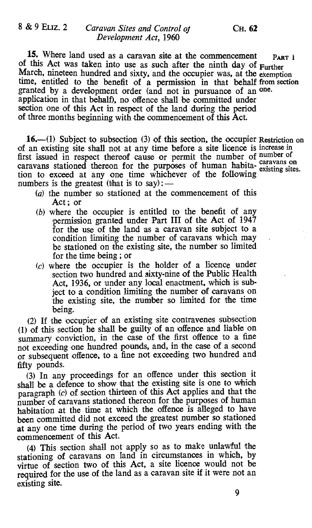15. Where land used as a caravan site at the commencement  $P_{ART}$  i of this Act was taken into use as such after the ninth day of  $P_{\text{urther}}$  March, nineteen hundred and sixty, and the occupier was, at the exemption time, e granted by a development order (and not in pursuance of an one- application in that behalf), no offence shall be committed under section one of this Act in respect of the land during the period of three months beginning with the commencement of this Act.

 $16$ .—(1) Subject to subsection (3) of this section, the occupier Restriction on of an existing site shall not at any time before a site licence is increase in first issued in respect thereof cause or permit the number of number of caravans stationed thereon for the purposes of human habita-<br>caravans on<br>tion to exceed at any one time whichever of the following<br>numbers is the greatest (that is to say): tion to exceed at any one time whichever of the following

- (a) the number so stationed at the commencement of this Act ; or
- (b) where the occupier is entitled to the benefit of any permission granted under Part III of the Act of 1947 for the use of the land as a caravan site subject to a condition limiting the number of caravans which may be stationed on the existing site, the number so limited for the time being ; or
- (c) where the occupier is the holder of a licence under section two hundred and sixty-nine of the Public Health Act, 1936, or under any local enactment, which is subject to a condition limiting the number of caravans on the existing site, the number so limited for the time being.

(2) If the occupier of an existing site contravenes subsection (1) of this section he shall be guilty of an offence and liable on summary conviction, in the case of the first offence to a fine not exceeding one hundred pounds, and, in the case of a second or subsequent offence, to a fine not exceeding two hundred and fifty pounds.

(3) In any proceedings for an offence under this section it shall be a defence to show that the existing site is one to which paragraph (c) of section thirteen of this Act applies and that the number of caravans stationed thereon for the purposes of human habitation at the time at which the offence is alleged to have been committed did not exceed the greatest number so stationed at any one time during the period of two years ending with the commencement of this Act.

(4) This section shall not apply so as to make unlawful the stationing of caravans on land in circumstances in which, by virtue of section two of this Act, a site licence would not be required for the use of the land as a caravan site if it were not an existing site.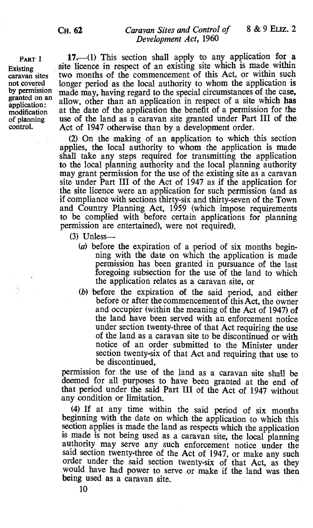## CH. 62 Caravan Sites and Control of 8 & 9 Euz. <sup>2</sup> Development Act, 1960

PART I Existing caravan sites not covered by permission granted on an application: modification of planning control.

 $17.$ —(1) This section shall apply to any application for a site licence in respect of an existing site which is made within two months of the commencement of this Act, or within such longer period as the local authority to whom the application is made may, having regard to the special circumstances of the case, allow, other than an application in respect of a site which has at the date of the application the benefit of a permission for the use of the land as a caravan site granted under Part III of the Act of 1947 otherwise than by a development order.

(2) On the making of an application to which this section applies, the local authority to whom the application is made shall take any steps required for transmitting the application to the local planning authority and the local planning authority may grant permission for the use of the existing site as a caravan site under Part III of the Act of 1947 as if the application for the site licence were an application for such permission (and as if compliance with sections thirty-six and thirty-seven of the Town and Country Planning Act, 1959 (which impose requirements to be complied with before certain applications for planning permission are entertained), were not required).

- $(3)$  Unless-
	- (a) before the expiration of a period of six months beginning with the date on which the application is made permission has been granted in pursuance of the last foregoing subsection for the use of the land to which the application relates as a caravan site, or
	- (b) before the expiration of the said period, and either before or after the commencement of this Act, the owner and occupier (within the meaning of the Act of 1947) of the land have been served with an enforcement notice under section twenty-three of that Act requiring the use of the land as a caravan site to be discontinued or with notice of an order submitted to the Minister under section twenty-six of that Act and requiring that use to be discontinued,

permission for. the use of the land as a caravan site shall be deemed for all purposes to have been granted at the end of that period under the said Part III of the Act of 1947 without any condition or limitation.

(4) If at any time within the said period of six months beginning with the date on which the application to which this section applies is made the land as respects which the application is made is not being used as a caravan site, the local planning authority may serve any such enforcement notice under the said section twenty-three of the Act of 1947, or make any such order under the said section twenty-six of that Act, as they would. have had power to serve or make if the land was then being used as a caravan site.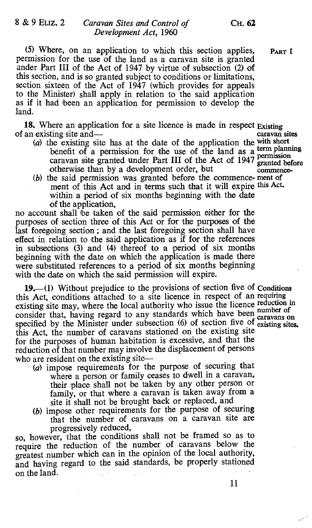(5) Where, on an application to which this section applies, PART I permission for the use of the land as a caravan site is granted ander Part III of the Act of 1947 by virtue of subsection (2) of this section, and is so granted subject to conditions or limitations, section sixteen of the Act of 1947 (which provides for appeals to the Minister) shall apply in relation to the said application as if it had been an application for permission to develop the land.

18. Where an application for a site licence is made in respect Existing of an existing site and— caravan sites

- (a) the existing site has at the date of the application the with short benefit of a permission for the use of the land as a term planning benefit of a permission for the use of the land as a permission<br>caravan site granted under Part III of the Act of 1947 granted before otherwise than by a development order, but commence-
- (b) the said permission was granted before the commence- ment of ment of this Act and in terms such that it will expire this Act. within a period of six months beginning with the date of the application,

no account shall be taken of the said permission either for the purposes of section three of this Act or for the purposes of the last foregoing section; and the last foregoing section shall have effect in relation to the said application as if for the references in subsections (3) and (4) thereof to a period of six months beginning with the date on which the application is made there were substituted references to a period of six months beginning with the date on which the said permission will expire.

19. $(1)$  Without prejudice to the provisions of section five of Conditions this Act, conditions attached to a site licence in respect of an requiring existing site may, where the local authority who issue the licence reduction in consider that, having regard to any standards which have been number of specified by the Minister under subsection (6) of section five of existing sites. this Act, the number of caravans stationed on the existing site for the purposes of human habitation is excessive, and that the reduction of that number may involve the displacement of persons who are resident on the existing site-

- (a) impose requirements for the purpose of securing that where a person or family ceases to dwell in a caravan, their place shall not be taken by any other person or family, or that where a caravan is taken away from a site it shall not be brought back or replaced, and
- (b) impose other requirements for the purpose of securing that the number of caravans on a caravan site are progressively reduced,

so, however, that the conditions shall not be framed so as to require the reduction of the number of caravans below the greatest number which can in the opinion of the local authority, and having regard to the said standards, be properly stationed on the land.  $\Delta\omega$  and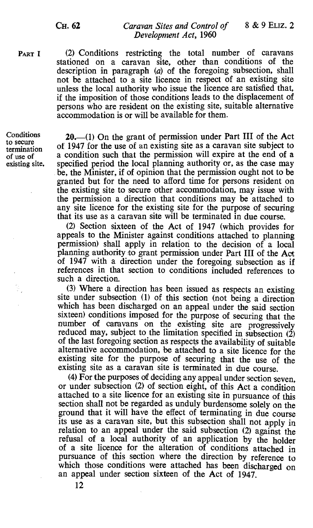## CH, 62 Caravan Sites and Control of 8 & 9 ELIZ. 2 Development Act, 1960

PART I (2) Conditions restricting the total number of caravans stationed on a caravan site, other than conditions of the description in paragraph (a) of the foregoing subsection, shall not be attached to a site licence in respect of an existing site unless the local authority who issue the licence are satisfied that, if the imposition of those conditions leads to the displacement of persons who are resident on the existing site, suitable alternative accommodation is or will be available for them.

**Conditions** to secure termination of use of existing site.

 $20$ .—(1) On the grant of permission under Part III of the Act of 1947 for the use of an existing site as a caravan site subject to a condition such that the permission will expire at the end of a specified period the local planning authority or, as the case may be, the Minister, if of opinion that the permission ought not to be granted but for the need to afford time for persons resident on the existing site to secure other accommodation, may issue with the permission a direction that conditions may be attached to any site licence for the existing site for the purpose of securing that its use as a caravan site will be terminated in due course.

(2) Section sixteen of the Act of 1947 (which provides for appeals to the Minister against conditions attached to planning permission) shall apply in relation to the decision of a local planning authority to grant permission under Part III of the Act of 1947 with a direction under the foregoing subsection as if references in that section to conditions included references to such a direction.

(3) Where a direction has been issued as respects an existing site under subsection (1) of this section (not being a direction which has been discharged on an appeal under the said section sixteen) conditions imposed for the purpose of securing that the number of caravans on the existing site are progressively reduced may, subject to the limitation specified in subsection (2) of the last foregoing section as respects the availability of suitable alternative accommodation, be attached to a site licence for the existing site for the purpose of securing that the use of the existing site as a caravan site is terminated in due course.

(4) For the purposes of deciding any appeal under section seven, or under subsection (2) of section eight, of this Act a condition attached to a site licence for an existing site in pursuance of this section shall not be regarded as unduly burdensome solely on the ground that it will have the effect of terminating in due course its use as a caravan site, but this subsection shall not apply in relation to an appeal under the said subsection (2) against the refusal of a local authority of an application by the holder of a site licence for the alteration of conditions attached in pursuance of this section where the direction by reference to which those conditions were attached has been discharged on an appeal under section sixteen of the Act of 1947.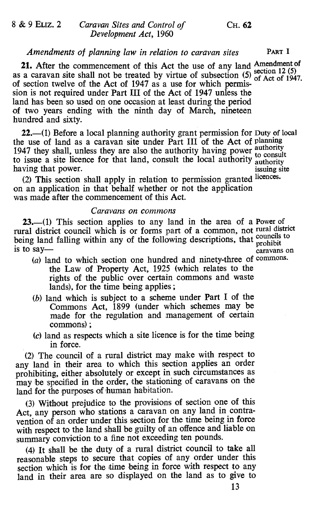8 & 9 ELIZ. 2 Caravan Sites and Control of CH. 62 Development Act, 1960

## Amendments of planning law in relation to caravan sites PART I

21. After the commencement of this Act the use of any land Amendment of as a caravan site shall not be treated by virtue of subsection  $(5)$  of Act of 1947. as a caravan sue shall not be treated by virtue of subsection  $(3)$  of Act of 1947.<br>of section twelve of the Act of 1947 as a use for which permisof section twelve of the Act of 1947 as a use for which permission is not required under Part III of the Act of 1947 unless the land has been so used on one occasion at least during the period of two years ending with the ninth day of March, nineteen hundred and sixty.

 $22$ .-(1) Before a local planning authority grant permission for Duty of local the use of land as a caravan site under Part III of the Act of planning 1947 they shall, unless they are also the authority having power to consult to issue a site licence for that land, consult the local authority we consult having that power.

(2) This section shall apply in relation to permission granted licences. on an application in that behalf whether or not the application was made after the commencement of this Act.

#### Caravans on commons

 $23$ . (1) This section applies to any land in the area of a Power of rural district council which is or forms part of a common, not rural district being land falling within any of the following descriptions, that  $\frac{1}{100}$  councils to is to sa ally by the conoming descriptions, that  $\frac{\text{prohibit}}{\text{aravans on}}$ 

- (a) land to which section one hundred and ninety-three of commons. the Law of Property Act, 1925 (which relates to the rights of the public over certain commons and waste lands), for the time being applies ;
- (b) land which is subject to a scheme under Part I of the Commons Act, 1899 (under which schemes may be made for the regulation and management of certain commons) ;
- (c) land as respects which a site licence is for the time being in force.

(2) The council of a rural district may make with respect to any land in their area to which this section applies an order prohibiting, either absolutely or except in such circumstances as may be specified in the order, the stationing of caravans on the land for the purposes of human habitation.

(3) Without prejudice to the provisions of section one of this Act, any person who stations a caravan on any land in contravention of an order under this section for the time being in force with respect to the land shall be guilty of an offence and liable on summary conviction to a fine not exceeding ten pounds.

(4) It shall be the duty of a rural district council to take all reasonable steps to secure that copies of any order under this section which is for the time being in force with respect to any land in their area are so displayed on the land as to give to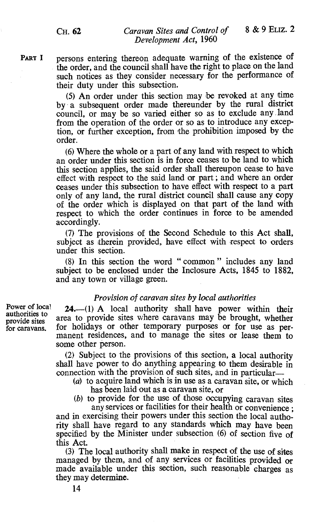PART I persons entering thereon adequate warning of the existence of the order, and the council shall have the right to place on the land such notices as they consider necessary for the performance of their duty under this subsection.

> (5) An order under this section may be revoked at any time by a subsequent order made thereunder by the rural district council, or may be so varied either so as to exclude any. land from the operation of the order or so as to introduce any exception, or further exception, from the prohibition imposed by the order.

> (6) Where the whole or a part of any land with respect to which an order under this section is in force ceases to be land to which this section applies, the said order shall thereupon cease to have effect with respect to the said land or part; and where an order ceases under this subsection to have effect with respect to a part only of any land, the rural district council shall cause any copy of the order which is displayed on that part of the land with respect to which the order continues in force to be amended accordingly.

> (7) The provisions of the Second Schedule to this Act shall, subject as therein provided, have effect with respect to orders under this section.

> (8) In this section the word " common " includes any land subject to be enclosed under the Inclosure Acts, 1845 to 1882, and any town or village green.

## Provision of caravan sites by local authorities

 $24$ . (1) A local authority shall have power within their area to provide sites where caravans may be brought, whether for holidays or other temporary purposes or for use as permanent residences, and to manage the sites or lease them to some other person.

(2) Subject to the provisions of this section, a local authority shall have power to do anything appearing to them desirable in connection with the provision of such sites, and in particular-

 $(a)$  to acquire land which is in use as a caravan site, or which has been laid out as a caravan site, or

(b) to provide for the use of those occupying caravan sites

any services or facilities for their health or convenience ; and in exercising their powers under this section the local authority shall have regard to any standards which may have been specified by the Minister under subsection (6) of section five of this Act.

(3) The local authority shall make in respect of the use of sites managed by them, and of any services or facilities provided or made available under this section, such reasonable charges as they may determine.

Power of local authorities to provide sites for caravans.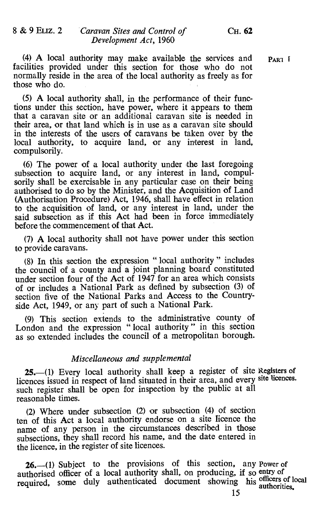## 8 & 9 ELIZ. 2 Caravan Sites and Control of CH. 62 Development Act, 1960

(4) A local authority may make available the services and  $p_A$ facilities provided under this section for those who do not normally reside in the area of the local authority as freely as for those who do.

(5) A local authority shall, in the performance of their functions under this section, have power, where it appears to them that a caravan site or an additional caravan site is needed in their area, or that land which is in use as a caravan site should in the interests of the users of caravans be taken over by the local authority, to acquire land, or any interest in land, compulsorily.

(6) The power of a local authority under the last foregoing subsection to acquire land, or any interest in land, compulsorily shall be exercisable in any particular case on their being authorised to do so by the Minister, and the Acquisition of Land (Authorisation Procedure) Act, 1946, shall have effect in relation to the acquisition of land, or any interest in land, under the said subsection as if this Act had been in force immediately before the commencement of that Act.

(7) A local authority shall not have power under this section to provide caravans.

(8) In this section the expression " local authority " includes the council of a county and a joint planning board constituted under section four of the Act of 1947 for an area which consists of or includes a National Park as defined by subsection (3) of section five of the National Parks and Access to the Countryside Act, 1949, or any part of such a National Park.

(9) This section extends to the administrative county of London and the expression " local authority " in this section as so extended includes the council of a metropolitan borough.

### Miscellaneous and supplemental

 $25-$ (1) Every local authority shall keep a register of site Registers of licences issued in respect of land situated in their area, and every site licences. such register shall be open for inspection by the public at all reasonable times.

(2) Where under subsection (2) or subsection (4) of section ten of this Act a local authority endorse on a site licence the name of any person in the circumstances described in those subsections, they shall record his name, and the date entered in the licence, in the register of site licences.

 $26$ — $(1)$  Subject to the provisions of this section, any Power of authorised officer of a local authority shall, on producing, if so entry of required, some duly authenticated document showing his officers of local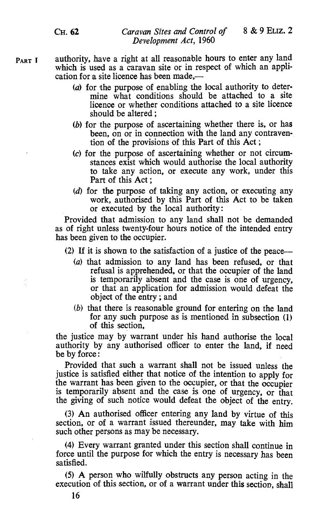- PART I authority, have a right at all reasonable hours to enter any land which is used as a caravan site or in respect of which an application for a site licence has been made,—
	- (a) for the purpose of enabling the local authority to determine what conditions should be attached to a site licence or whether conditions attached to a site licence should be altered ;
	- (b) for the purpose of ascertaining whether there is, or has been, on or in connection with the land any contravention of the provisions of this Part of this Act ;
	- (c) for the purpose of ascertaining whether or not circumstances exist which would authorise the local authority to take any action, or execute any work, under this Part of this Act ;
	- (d) for the purpose of taking any action, or executing any work, authorised by this Part of this Act to be taken or executed by the local authority :

Provided that admission to any land shall not be demanded as of right unless twenty-four hours notice of the intended entry has been given to the occupier.

- (2) If it is shown to the satisfaction of a justice of the peace-
	- (a) that admission to any land has been refused, or that refusal is apprehended, or that the occupier of the land is temporarily absent and the case is one of urgency, or that an application for admission would defeat the object of the entry ; and
	- (b) that there is reasonable ground for entering on the land for any such purpose as is mentioned in subsection (1) of this section,

the justice may by warrant under his hand authorise the local authority by any authorised officer to enter the land, if need be by force :

Provided that such a warrant shall not be issued unless the justice is satisfied either that notice of the intention to apply for the warrant has been given to the occupier, or that the occupier is temporarily absent and the case is one of urgency, or that the giving of such notice would defeat the object of the entry.

(3) An authorised officer entering any land by virtue of this section, or of a warrant issued thereunder, may take with him such other persons as may be necessary.

(4) Every warrant granted under this section shall continue in force until the purpose for which the entry is necessary has been satisfied.

(5) A person who wilfully obstructs any person acting in the execution of this section, or of a warrant under this section, shall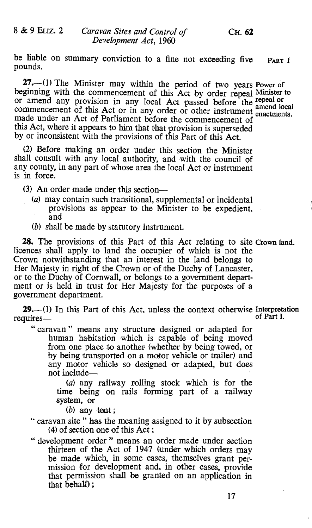be liable on summary conviction to a fine not exceeding five PART I pounds.

27.-(1) The Minister may within the period of two years Power of beginning with the commencement of this Act by order repeal Minister to or amend any provision in any local Act passed before the repeal or commencement of this Act or in any order or other instrument amend local made under an Act of Parliament before the commencement of this Act, where it appears to him that that provision is superseded by or inconsistent with the provisions of this Part of this Act.

(2) Before making an order under this section the Minister shall consult with any local authority, and with the council of any county, in any part of whose area the local Act or instrument is in force.

(3) An order made under this section-

- (a) may contain such transitional, supplemental or incidental provisions as appear to the Minister to be expedient, and
- (b) shall be made by statutory instrument.

28. The provisions of this Part of this Act relating to site Crown land. licences shall apply to land the occupier of which is not the Crown notwithstanding that an interest in the land belongs to Her Majesty in right of the Crown or of the Duchy of Lancaster, or to the Duchy of Cornwall, or belongs to a government department or is held in trust for Her Majesty for the purposes of a government department.

**29.**—(1) In this Part of this Act, unless the context otherwise Interpretation of Part I. requires-

" caravan " means any structure designed or adapted for human habitation which is capable of being moved from one place to another (whether by being towed, or by being transported on a motor vehicle or trailer) and any motor vehicle so designed or adapted, but does not include-

> (a) any railway rolling stock which is for the time being on rails forming part of a railway system, or

 $(b)$  any tent;

" caravan site " has the meaning assigned to it by subsection (4) of section one of this Act ;

" development order " means an order made under section thirteen of the Act of 1947 (under which orders may be made which, in some cases, themselves grant permission for development and, in other cases, provide that permission shall be granted on an application in that behalf) ;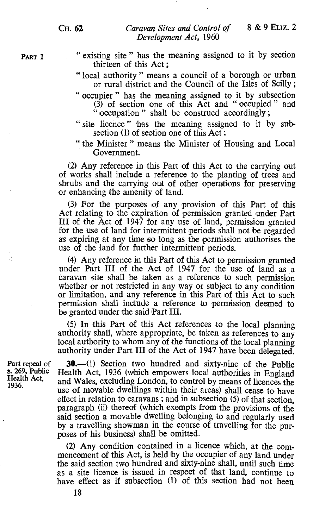## CH. 62 Caravan Sites and Control of 8 & 9 ELIZ. 2 Development Act, 1960

PART I

- " existing site " has the meaning assigned to it by section thirteen of this Act ;
- " local authority " means a council of a borough or urban or rural district and the Council of the Isles of Scilly ;
- " occupier " has the meaning assigned to it by subsection (3) of section one of this Act and " occupied " and " occupation" shall be construed accordingly ;
- " site licence " has the meaning assigned to it by subsection (1) of section one of this Act ;
- "the Minister " means the Minister of Housing and Local Government.

(2) Any reference in this Part of this Act to the carrying out of works shall include a reference to the planting of trees and shrubs and the carrying out of other operations for preserving or enhancing the amenity of land.

(3) For the purposes of any provision of this Part of this III of the Act of  $1947$  for any use of land, permission granted for the use of land for intermittent periods shall not be regarded as expiring at any time so long as the permission authorises the use of the land for further intermittent periods.

(4) Any reference in this Part of this Act to permission granted under Part III of the Act of 1947 for the use of land as <sup>a</sup> caravan site shall be taken as a reference to such permission whether or not restricted in any way or subject to any condition or limitation, and any reference in this Part of this Act to such permission shall include a reference to permission deemed to be granted under the said Part III.

(5) In this Part of this Act references to the local planning authority shall, where appropriate, be taken as references to any local authority to whom any of the functions of the local planning authority under Part III of the Act of 1947 have been delegated.

Part repeal of s. 269, Public Health Act, 1936.

Å

30.-(1) Section two hundred and sixty-nine of the Public Health Act, 1936 (which empowers local authorities in England and Wales, excluding London, to control by means of licences the use of movable dwellings within their areas) shall cease to have effect in relation to caravans ; and in subsection (5) of that section, paragraph (ii) thereof (which exempts from the provisions of the said section a movable dwelling belonging to and regularly used by a travelling showman in the course of travelling for the purposes of his business) shall be omitted.

(2) Any condition contained in a licence which, at the commencement of this Act, is held by the occupier of any land under the said section two hundred and sixty-nine shall, until such time as a site licence is issued in respect of that land, continue to have effect as if subsection (1) of this section had not been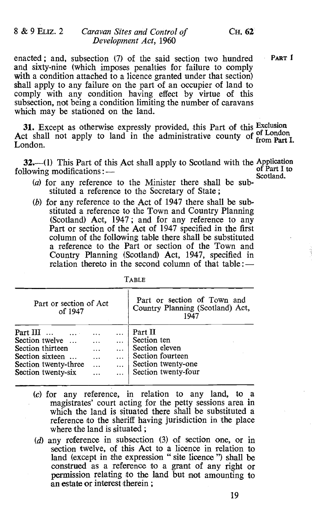enacted; and, subsection (7) of the said section two hundred and sixty-nine (which imposes penalties for failure to comply with a condition attached to a licence granted under that section) shall apply to any failure on the part of an occupier of land to comply with any condition having effect by virtue of this subsection, not being a condition limiting the number of caravans which may be stationed on the land.

31. Except as otherwise expressly provided, this Part of this Exclusion Act shall not apply to land in the administrative county of  $\frac{1}{2}$  from Part I.<br>London.

32.--(1) This Part of this Act shall apply to Scotland with the Application following modifications :---Scotland.

- (a) for any reference to the Minister there shall be substituted a reference to the Secretary of State ;
- (b) for any reference to the Act of 1947 there shall be substituted a reference to the Town and Country Planning (Scotland) Act, 1947 ; and for any reference to any Part or section of the Act of 1947 specified in the first column of the following table there shall be substituted a reference to the Part or section of the Town and Country Planning (Scotland) Act, 1947, specified in relation thereto in the second column of that table: $-$

| Part or section of Act<br>of 1947          |           |           | Part or section of Town and<br>Country Planning (Scotland) Act,<br>1947 |
|--------------------------------------------|-----------|-----------|-------------------------------------------------------------------------|
| Part III<br>Section twelve                 | $\ddotsc$ |           | Part II<br>Section ten                                                  |
| Section thirteen<br>Section sixteen        |           |           | Section eleven<br>Section fourteen                                      |
| Section twenty-three<br>Section twenty-six | $\ddotsc$ | $\ddotsc$ | Section twenty-one<br>Section twenty-four                               |

- (c) for any reference, in relation to any land, to a magistrates' court acting for the petty sessions area in which the land is situated there shall be substituted a reference to the sheriff having jurisdiction in the place where the land is situated ;
- (d) any reference in subsection (3) of section one, or in section twelve, of this Act to a licence in relation to land (except in the expression " site licence ") shall be construed as a reference to a grant of any right or permission relating to the land but not amounting to an estate or interest therein ;

PART I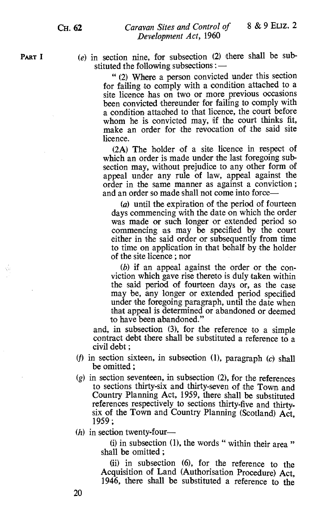## CH. 62 Caravan Sites and Control of 8 & 9 ELIZ. 2 Development Act, 1960

PART I (e) in section nine, for subsection (2) there shall be substituted the following subsections :  $-$ 

" (2) Where a person convicted under this section for failing to comply with a condition attached to a site licence has on two or more previous occasions been convicted thereunder for failing to comply with a condition attached to that licence, the court before whom he is convicted may, if the court thinks fit, make an order for the revocation of the said site licence.

(2A) The holder of a site licence in respect of which an order is made under the last foregoing subsection may, without prejudice to any other form of appeal under any rule of law, appeal against the order in the same manner as against a conviction ; and an order so made shall not come into force-

(a) until the expiration of the period of fourteen days commencing with the date on which the order was made or such longer or extended period so commencing as may be specified by the court either in the said order or subsequently from time to time on application in that behalf by the holder of the site licence ; nor

(b) if an appeal against the order or the conviction which gave rise thereto is duly taken within the said period of fourteen days or, as the case may be, any longer or extended period specified under the foregoing paragraph, until the date when that appeal is determined or abandoned or deemed to have been abandoned."

and, in subsection (3), for the reference to a simple contract debt there shall be substituted a reference to a civil debt ;

- (f) in section sixteen, in subsection (1), paragraph  $(c)$  shall be omitted ;
- (g) in section seventeen, in subsection (2), for the references to sections thirty-six and thirty-seven of the Town and Country Planning Act, 1959, there shall be substituted references respectively to sections thirty-five and thirtysix of the Town and Country Planning (Scotland) Act, 1959;
- $(h)$  in section twenty-four-

(i) in subsection  $(1)$ , the words " within their area " shall be omitted :

(ii) in subsection (6), for the reference to the Acquisition of Land (Authorisation Procedure) Act, 1946, there shall be substituted a reference to the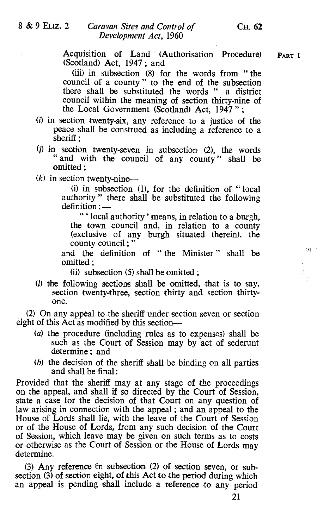PART I

 $\overline{\Delta} \overline{\widetilde{M}}$ 

Acquisition of Land (Authorisation Procedure) (Scotland) Act, 1947 ; and

(iii) in subsection (8) for the words from " the council of a county " to the end of the subsection there shall be substituted the words " a district council within the meaning of section thirty-nine of the Local Government (Scotland) Act, 1947 " ;

- $(i)$  in section twenty-six, any reference to a justice of the peace shall be construed as including a reference to a sheriff ;
- (j) in section twenty-seven in subsection (2), the words " and with the council of any county" shall be omitted ;
- $(k)$  in section twenty-nine--

 $(i)$  in subsection  $(1)$ , for the definition of " local (i) in subsection (i), for the definition of  $\alpha$  is a authority " there shall be substituted the following definition :-

" 'local authority' means, in relation to a burgh, the town council and, in relation to a county (exclusive of any burgh situated therein), the county council ; "

and the definition of "the Minister " shall be omitted ;

(ii) subsection (5) shall be omitted;<br>(1) the following sections shall be omitted, that is to say, section twenty-three, section thirty and section thirtyone.

(2) On any appeal to the sheriff under section seven or section eight of this Act as modified by this section-

- (a) the procedure (including rules as to expenses) shall be such as the Court of Session may by act of sederunt determine ; and
- $(b)$  the decision of the sheriff shall be binding on all parties and shall be final:

Provided that the sheriff may at any stage of the proceedings on the appeal, and shall if so directed by the Court of Session, state a case for the decision of that Court on any question of law arising in connection with the appeal ; and an appeal to the House of Lords shall lie, with the leave of the Court of Session or of the House of Lords, from any such decision of the Court of Session, which leave may be given on such terms as to costs or otherwise as the Court of Session or the House of Lords may determine.

(3) Any reference in subsection (2) of section seven, or subsection (3) of section eight, of this Act to the period during which an appeal is pending shall include a reference to any period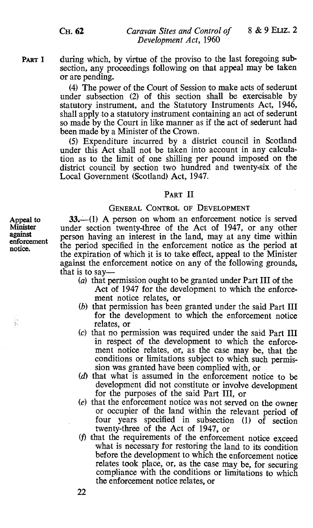PART I during which, by virtue of the proviso to the last foregoing subsection, any proceedings following on that appeal may be taken or are pending.

> (4) The power of the Court of Session to make acts of sederunt under subsection (2) of this section shall be exercisable by statutory instrument, and the Statutory Instruments Act, 1946, shall apply to a statutory instrument containing an act of sederunt so made by the Court in like manner as if the act of sederunt had been made by a Minister of the Crown.

> (5) Expenditure incurred by a district council in Scotland under this Act shall not be taken into account in any calculation as to the limit of one shilling per pound imposed on the district council by section two hundred and twenty-six of the Local Government (Scotland) Act, 1947.

## PART II

## GENERAL CONTROL OF DEVELOPMENT

Appeal to Minister against enforcement notice.

in.<br>Ba

33.—(1) A person on whom an enforcement notice is served under section twenty-three of the Act of 1947, or any other person having an interest in the land, may at any time within the period specified in the enforcement notice as the period at the expiration of which it is to take effect, appeal to the Minister against the enforcement notice on any of the following grounds, that is to say-

- (a) that permission ought to be granted under Part III of the Act of 1947 for the development to which the enforcement notice relates, or
- (b) that permission has been granted under the said Part III for the development to which the enforcement notice relates, or
- (c) that no permission was required under the said Part III in respect of the development to which the enforcement notice relates, or, as the case may be, that the conditions or limitations subject to which such permission was granted have been complied with, or
- (d) that what is assumed in the enforcement notice to be development did not constitute or involve development for the purposes of the said Part III, or
- (e) that the enforcement notice was not served on the owner or occupier of the land within the relevant period of four years specified in subsection (1) of section twenty-three of the Act of 1947, or
- (f) that the requirements of the enforcement notice exceed what is necessary for restoring the land to its condition before the development to which the enforcement notice relates took place, or, as the case may be, for securing compliance with the conditions or limitations to which the enforcement notice relates, or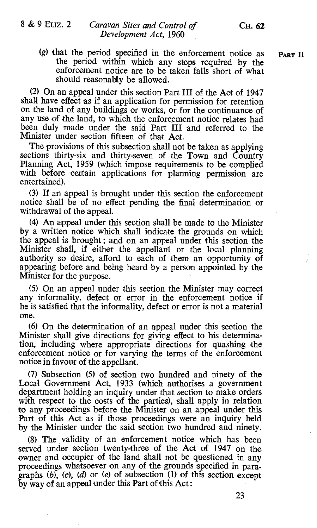## 8 & 9 ELIZ. 2 Caravan Sites and Control of CH. 62 Development Act, 1960

(g) that the period specified in the enforcement notice as PART II the period within which any steps required by the enforcement notice are to be taken falls short of what should reasonably be allowed.

(2) On an appeal under this section Part III of the Act of 1947 shall have effect as if an application for permission for retention on the land of any buildings or works, or for the continuance of any use of the land, to which the enforcement notice relates had been duly made under the said Part III and referred to the Minister under section fifteen of that Act.

The provisions of this subsection shall not be taken as applying sections thirty-six and thirty-seven of the Town and Country Planning Act, 1959 (which impose requirements to be complied with before certain applications for planning permission are entertained).

(3) If an appeal is brought under this section the enforcement notice shall be of no effect pending the final determination or withdrawal of the appeal.

(4) An appeal under this section shall be made to the Minister by a written notice which shall indicate the grounds on which the appeal is brought ; and on an appeal under this section the Minister shall, if either the appellant or the local planning authority so desire, afford to each of them an opportunity of appearing before and being heard by a person appointed by the Minister for the purpose.

(5) On an appeal under this section the Minister may correct any informality, defect or error in the enforcement notice if he is satisfied that the informality, defect or error is not a material one.

(6) On the determination of an appeal under this section the Minister shall give directions for giving effect to his determination, including where appropriate directions for quashing the enforcement notice or for varying the terms of the enforcement notice in favour of the appellant.

(7) Subsection (5) of section two hundred and ninety of the Local Government Act, 1933 (which authorises a government department holding an inquiry under that section to make orders with respect to the costs of the parties), shall apply in relation to any proceedings before the Minister on an appeal under this Part of this Act as if those proceedings were an inquiry held by the Minister under the said section two hundred and ninety.

(8) The validity of an enforcement notice which has been served under section twenty-three of the Act of 1947 on the owner and occupier of the land shall not be questioned in any proceedings whatsoever on any of the grounds specified in paragraphs  $(b)$ ,  $(c)$ ,  $(d)$  or  $(e)$  of subsection  $(1)$  of this section except by way of an appeal under this Part of this Act :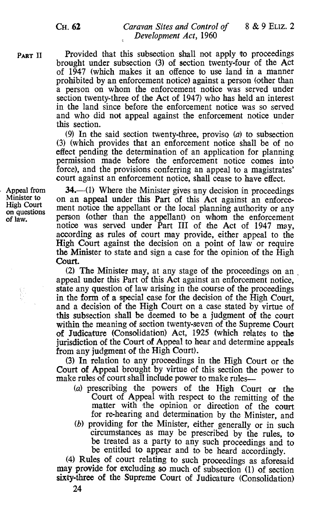PART II Provided that this subsection shall not apply to proceedings brought under subsection (3) of section twenty-four of the Act of 1947 (which makes it an offence to use land in a manner prohibited by an enforcement notice) against a person (other than a person on whom the enforcement notice was served under section twenty-three of the Act of 1947) who has held an interest in the land since before the enforcement notice was so served and who did not appeal against the enforcement notice under this section.

> (9) In the said section twenty-three, proviso (a) to subsection (3) (which provides that an enforcement notice shall be of no effect pending the determination of an application for planning permission made before the enforcement notice comes into force), and the provisions conferring an appeal to a magistrates' court against an enforcement notice, shall cease to have effect.

 $34$ . $-(1)$  Where the Minister gives any decision in proceedings on an appeal under this Part of this Act against an enforcement notice the appellant or the local planning authority or any person (other than the appellant) on whom the enforcement notice was served under Part III of the Act of 1947 may, according as rules of court may provide, either appeal to the High Court against the decision on a point of law or require the Minister to state and sign a case for the opinion of the High Court.

(2) The Minister may, at any stage of the proceedings on an appeal under this Part of this Act against an enforcement notice, state any question of law arising in the course of the proceedings in the form of a special case for the decision of the High Court, and a decision of the High Court on a case stated by virtue of this subsection shall be deemed to be a judgment of the court within the meaning of section twenty-seven of the Supreme Court of Judicature (Consolidation) Act, 1925 (which relates to the jurisdiction of the Court of Appeal to hear and determine appeals from any judgment of the High Court).

(3) In relation to any proceedings in the High Court or the Court of Appeal brought by virtue of this section the power to make rules of court shall include power to make rules-

- (a) prescribing the powers of the High Court or the Court of Appeal with respect to the remitting of the matter with the opinion or direction of the court for re-hearing and determination by the Minister, and
- (b) providing for the Minister, either generally or in such circumstances as may be prescribed by the rules, to be treated as a party to any such proceedings and to be entitled to appear and to be heard accordingly.

(4) Rules of court relating to such proceedings as aforesaid may provide for excluding so much of subsection (1) of section sixty-three of the Supreme Court of Judicature (Consolidation)

Appeal from Minister to High Court on questions of law.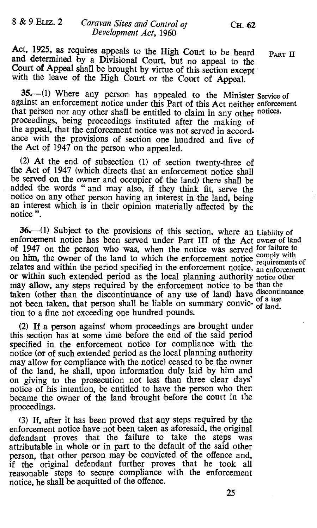Act, 1925, as requires appeals to the High Court to be heard and determined by a Divisional Court, but no appeal to the Court of Appeal shall be brought by virtue of this section except with the leave of the High Court or the Court of Appeal.

 $35$ . $-(1)$  Where any person has appealed to the Minister Servic 35.—(1) where any person has appealed to the Minister Service of against an enforcement notice under this Part of this Act neither enforcement that person nor any other shall be entitled to claim in any other notices. proceedings, being proceedings instituted after the making of the appeal, that the enforcement notice was not served in accordance with the provisions of section one hundred and five of the Act of 1947 on the person who appealed. enforcement that person nor any other shall be entitled to claim in any other notices.

(2) At the end of subsection (1) of section twenty-three of the Act of 1947 (which directs that an enforcement notice shall be served on the owner and occupier of the land) there shall be added the words "and may also, if they think fit, serve the notice on any other person having an interest in the land, being an interest which is in their opinion materially affected by the notice ".

 $36$ —(1) Subject to the provisions of this section, where an Liability of enforcement notice has been served under Part III of the Act owner of land of 1947 on the person who was, when the notice was served for failure to on him, the owner of the land to which the enforcement notice  $_{\text{reourir}}^{\text{comp}}$ relates and within the period specified in the enforcement notice, an enf or within such extended period as the local planning authority notice other may allow, any steps required by the enforcement notice to be than the taken (other than the discontinuance of any use of land) have  $\frac{d}{d}$  and not been taken, that person shall be liable on summary conviction to a fine not exceeding one hundred pounds.

(2) If a person against whom proceedings are brought under this section has at some time before the end of the said period specified in the enforcement notice for compliance with the notice (or of such extended period as the local planning authority may allow for compliance with the notice) ceased to be the owner of the land, he shall, upon information duly laid by him and on giving to the prosecution not less than three clear days' notice of his intention, be entitled to have the person who then became the owner of the land brought before the court in the proceedings.

(3) If, after it has been proved that any steps required by the enforcement notice have not been taken as aforesaid, the original defendant proves that the failure to take the steps was attributable in whole or in part to the default of the said other person, that other person may be convicted of the offence and, if the original defendant further proves that he took all reasonable steps to secure compliance with the enforcement notice, he shall be acquitted of the offence.

comply with requirements of an enforcement discontinuance of a use of land.

PART II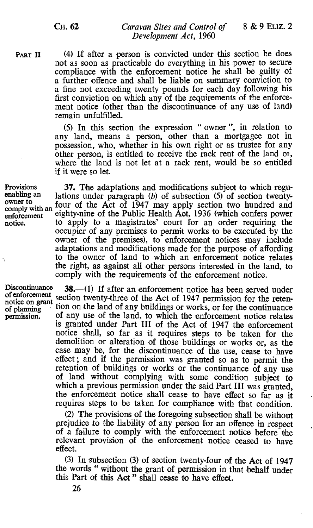PART II (4) If after a person is convicted under this section he does not as soon as practicable do everything in his power to secure compliance with the enforcement notice he shall be guilty of a further offence and shall be liable on summary conviction to a fine not exceeding twenty pounds for each day following his first conviction on which any of the requirements of the enforcement notice (other than the discontinuance of any use of land) remain unfulfilled.

> (5) In this section the expression " owner ", in relation to any land, means a person, other than a mortgagee not in possession, who, whether in his own right or as trustee for any other person, is entitled to receive the rack rent of the land or, where the land is not let at a rack rent, would be so entitled if it were so let.

Provisions  $\frac{37}{100}$ . The adaptations and modifications subject to which regu-<br>enabling an lations under parameter (b) of subsection (5) of section twentyenabling an lations under paragraph (b) of subsection (5) of section twenty-<br>owner to  $f_{\text{avg}}$  of the Act of 1947 may apply section two hundred and owner to four of the Act of 1947 may apply section two hundred and enforcement eighty-nine of the Public Health Act,  $1936$  (which confers power enforcement eighty-nine of the Public Health Act, 1936 (which confers power notice, to apply to a magistrates' court for an order requiring the to apply to a magistrates' court for an order requiring the occupier of any premises to permit works to be executed by the owner of the premises), to enforcement notices may include adaptations and modifications made for the purpose of affording to the owner of land to which an enforcement notice relates the right, as against all other persons interested in the land, to comply with the requirements of the enforcement notice.

Discontinuance 38.—(1) If after an enforcement notice has been served under<br>of enforcement section twenty-three of the Act of 1947 permission for the reten-<br>of planning tion on the land of any buildings or works, or for th of any use of the land, to which the enforcement notice relates is granted under Part III of the Act of 1947 the enforcement notice shall, so far as it requires steps to be taken for the demolition or alteration of those buildings or works or, as the case may be, for the discontinuance of the use, cease to have effect ; and if the permission was granted so as to permit the retention of buildings or works or the continuance of any use of land without complying with some condition subject to which a previous permission under the said Part III was granted, the enforcement notice shall cease to have effect so far as it requires steps to be taken for compliance with that condition.

> (2) The provisions of the foregoing subsection shall be without prejudice to the liability of any person for an offence in respect of a failure to comply with the enforcement notice before the relevant provision of the enforcement notice ceased to have effect.

> (3) In subsection (3) of section twenty-four of the Act of 1947 the words " without the grant of permission in that behalf under this Part of this Act " shall cease to have effect.

26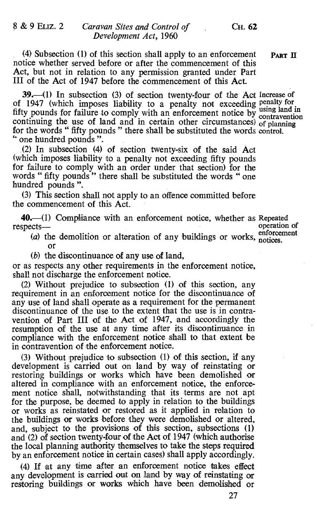(4) Subsection (1) of this section shall apply to an enforcement notice whether served before or after the commencement of this Act, but not in relation to any permission granted under Part III of the Act of 1947 before the commencement of this Act.

39. (1) In subsection (3) of section twenty-four of the Act Increase of of 1947 (which imposes liability to a penalty not exceeding penalt fifty pounds for failure to comply with an enforcement notice by  $\frac{\text{using}}{\text{contra}}$  continuing the use of land and in certain other circumstances) of plan for the words " fifty pounds" there shall be substituted the words control. one hundred pounds ". penalty for using land in contravention of planning

(2) In subsection (4) of section twenty-six of the said Act (which imposes liability to a penalty not exceeding fifty pounds for failure to comply with an order under that section) for the words " fifty pounds " there shall be substituted the words " one hundred pounds ".

(3) This section shall not apply to an offence committed before the commencement of this Act.

40.—(1) Compliance with an enforcement notice, whether as Repeated respects respects- operation of

- $(a)$  the demolition or alteration of any buildings or works, enforcement or
- (b) the discontinuance of any use of land,

or as respects any other requirements in the enforcement notice, shall not discharge the enforcement notice.

(2) Without prejudice to subsection (1) of this section, any requirement in an enforcement notice for the discontinuance of any use of land shall operate as a requirement for the permanent discontinuance of the use to the extent that the use is in contravention of Part III of the Act of 1947, and accordingly the resumption of the use at any time after its discontinuance in compliance with the enforcement notice shall to that extent be in contravention of the enforcement notice.

(3) Without prejudice to, subsection (1) of this section, if any development is carried out on land by way of reinstating or restoring buildings or works which have been demolished or altered in compliance with an enforcement notice, the enforcement notice shall, notwithstanding that its terms are not apt for the purpose, be deemed to apply in relation to the buildings or works as reinstated or restored as it applied in relation to the buildings or works before they were demolished or altered, and, subject to the provisions of this section, subsections (1) and (2) of section twenty-four of the Act of 1947 (which authorise the local planning authority themselves to take the steps required by an enforcement notice in certain cases) shall apply accordingly.

(4) If at any time after an enforcement notice takes effect any development is carried out on land by way of reinstating or restoring buildings or works which have been demolished or PART II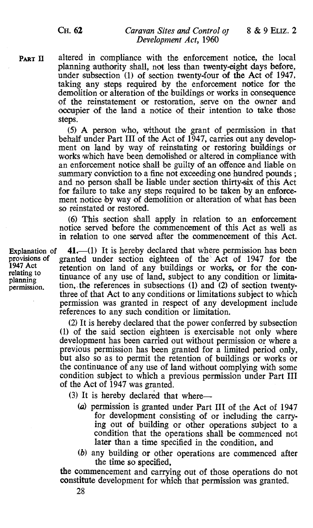PART II altered in compliance with the enforcement notice, the local planning authority shall, not less than twenty-eight days before, under subsection (1) of section twenty-four of the Act of 1947, taking any steps required by the enforcement notice for the demolition or alteration of the buildings or works in consequence of the reinstatement or restoration, serve on the owner and occupier of the land a notice of their intention to take those steps.

> (5) A person who, without the grant of permission in that behalf under Part III of the Act of 1947, carries out any development on land by way of reinstating or restoring buildings or works which have been demolished or altered in compliance with an enforcement notice shall be guilty of an offence and liable on summary conviction to a fine not exceeding one hundred pounds ; and no person shall be liable under section thirty-six of this Act for failure to take any steps required to be taken by an enforcement notice by way of demolition or alteration of what has been so reinstated or restored.

> (6) This section shall apply in relation to an enforcement notice served before the commencement of this Act as well as in relation to one served after the commencement of this Act.

Explanation of  $\left(41,-(1)\right)$  It is hereby declared that where permission has been provisions of granted under section eighteen of the Act of 1947 for the provisions of granted under section eighteen of the Act of 1947 for the 1947 Act retention on land of any huildings or works or for the con-1947 Act retention on land of any buildings or works, or for the con-<br>relating to tinuance of any use of land, subject to any condition or limitaplanning<br>permission. tion, the references in subsections (1) and (2) of section twentythree of that Act to any conditions or limitations subject to which permission was granted in respect of any development include references to any such condition or limitation.

> (2) It is hereby declared that the power conferred by subsection (1) of the said section eighteen is exercisable not only where development has been carried out without permission or where a previous permission has been granted for a limited period only, but also so as to permit the retention of buildings or works or the continuance of any use of land without complying with some condition subject to which a previous permission under Part III of the Act of 1947 was granted.

(3) It is hereby declared that where-

- (a) permission is granted under Part III of the Act of 1947 for development consisting of or including the carrying out of building or other operations subject to a condition that the operations shall be commenced not later than a time specified in the condition, and
- (b) any building or other operations are commenced after the time so specified,

the commencement and carrying out of those operations do not constitute development for which that permission was granted.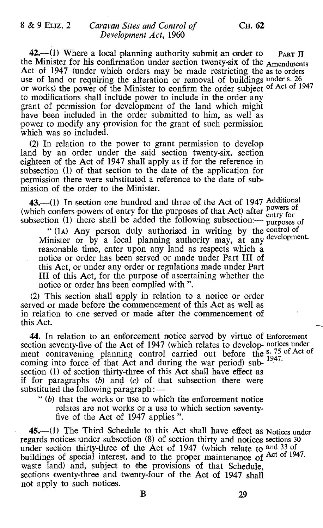42.—(1) Where a local planning authority submit an order to PART  $\Pi$ the Minister for his confirmation under section twenty-six of the Amendments Act of 1947 (under which orders may be made restricting the as to orders use of land or requiring the alteration or removal of buildings under s. 26 or works) the power of the Minister to confirm the order subject of Act of <sup>1947</sup> to modifications shall include power to include in the order any grant of permission for development of the land which might have been included in the order submitted to him, as well as power to modify any provision for the grant of such permission which was so included.

(2) In relation to the power to grant permission to develop land by an order under the said section twenty-six, section eighteen of the Act of 1947 shall apply as if for the reference in subsection (1) of that section to the date of the application for permission there were substituted a reference to the date of submission of the order to the Minister.

43. (1) In section one hundred and three of the Act of 1947 Additional (which confers powers of entry for the purposes of that Act) after powers of subsection (1) there shall be added the following subsection:— purposes of subsection (1) there shall be added the following subsection: $\frac{m}{2}$  purposes of

" (1A) Any person duly authorised in writing by the control of Minister or by a local planning authority may, at any development. reasonable time, enter upon any land as respects which a notice or order has been served or made under Part III of this Act, or under any order or regulations made under Part III of this Act, for the purpose of ascertaining whether the notice or order has been complied with ".

(2) This section shall apply in relation to a notice or order served or made before the commencement of this Act as well as in relation to one served or made after the commencement of this Act.

44. In relation to an enforcement notice served by virtue of Enforcement section seventy-five of the Act of 1947 (which relates to develop- notices under ment contravening planning control carried out before the  $\frac{1047}{1047}$  of Act of coming into force of that Act and during the war period) sub-<br>
<sub>1947</sub>. section (1) of section thirty-three of this Act shall have effect as section (1) or section thirty-three of this Act shall have effect as<br>if for paragraphs (b) and (c) of that subsection there were<br>substituted the following paragraph :---<br> $\frac{u}{dx}$ 

 $" (b)$  that the works or use to which the enforcement notice relates are not works or a use to which section seventyfive of the Act of 1947 applies ".

45.--(1) The Third Schedule to this Act shall have effect as Notices under regards notices under subsection (8) of section thirty and notices sections 30 under section thirty-three of the Act of 1947 (which relate to and 33 of buildings of special interest, and to the proper maintenance of Act of 1947. waste land) and, subject to the provisions of that Schedule. sections twenty-three and twenty-four of the Act of 1947 shall not apply to such notices.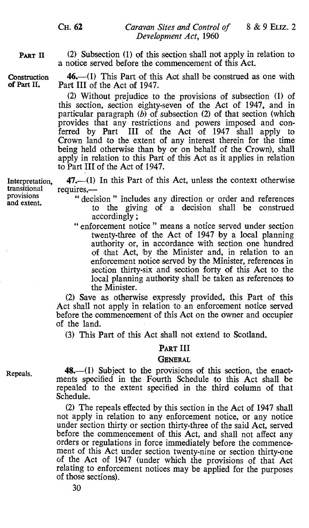**PART II** (2) Subsection (1) of this section shall not apply in relation to a notice served before the commencement of this Act.

**Construction** 46.—(1) This Part of this Act shall be construed as one with of Part II. Part III of the Act of 1947 Part III of the Act of 1947.

> (2) Without prejudice to the provisions of subsection (1) of this section, section eighty-seven of the Act of 1947, and in particular paragraph  $(b)$  of subsection (2) of that section (which provides that any restrictions and powers imposed and conferred by Part III of the Act of 1947 shall apply to Crown land to the extent of any interest therein for the time being held otherwise than by or on behalf of the Crown), shall apply in relation to this Part of this Act as it applies in relation to Part III of the Act of 1947.

Interpretation,  $47 - (1)$  In this Part of this Act, unless the context otherwise transitional requires, $-$ 

- provisions " decision " includes any direction or order and references and extent. to the giving of a decision shall be construed accordingly ;
	- " enforcement notice " means a notice served under section twenty-three of the Act of 1947 by a local planning authority or, in accordance with section one hundred of that Act, by the Minister and, in relation to an enforcement notice served by the Minister, references in section thirty-six and section forty of this Act to the local planning authority shall be taken as references to the Minister.

(2) Save as otherwise expressly provided, this Part of this Act shall not apply in relation to an enforcement notice served before the commencement of this Act on the owner and occupier of the land.

(3) This Part of this Act shall not extend to Scotland.

## PART III

#### **GENERAL**

Repeals. 48.-(1) Subject to the provisions of this section, the enactments specified in the Fourth Schedule to this Act shall be repealed to the extent specified in the third column of that Schedule.

> (2) The repeals effected by this section in the Act of 1947 shall not apply in relation to any enforcement notice, or any notice under section thirty or section thirty-three of the said Act, served<br>before the commencement of this Act, and shall not affect any orders or regulations in force immediately before the commence-ment of this Act under section twenty-nine or section thirty-one of the Act of 1947 (under which the provisions of that Act relating to enforcement notices may be applied for the purposes of those sections).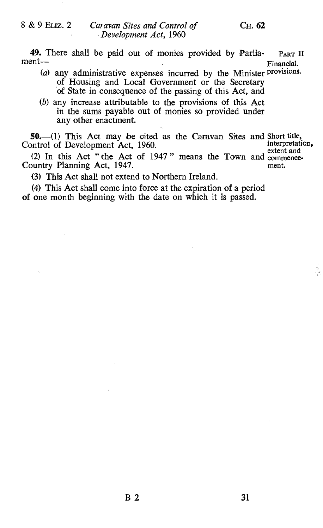49. There shall be paid out of monies provided by Parlia-  $PART \Pi$ <br>mentment-<br>ment- Financial.

- (a) any administrative expenses incurred by the Minister provisions. of Housing and Local Government or the Secretary of State in consequence of the passing of this Act, and
- (b) any increase attributable to the provisions of this Act in the sums payable out of monies so provided under any other enactment.

 $50$ .—(1) This Act may be cited as the Caravan Sites and Short title, interpretation, Control of Development Act, 1960. extent and

(2) In this Act "the Act of 1947" means the Town and commence-<br>Country Planning Act, 1947.

(3) This Act shall not extend to Northern Ireland.

(4) This Act shall come into force at the expiration of a period of one month beginning with the date on which it is passed.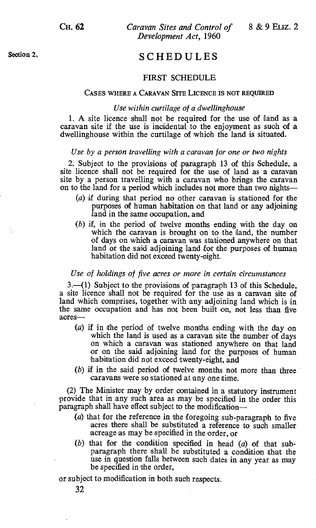Section 2.

## SCHEDULES

#### FIRST SCHEDULE

#### CASES WHERE A CARAVAN SITE LICENCE IS NOT REQUIRED

#### Use within curtilage of a dwellinghouse

1. A site licence shall not be required for the use of land as a caravan site if the use is incidental to the enjoyment as such of a dwellinghouse within the curtilage of which the land is situated.

#### Use by a person travelling with a caravan for one or two nights

2. Subject to the provisions of paragraph 13 of this Schedule, a site licence shall not be required for the use of land as a caravan site by a person travelling with a caravan who brings the caravan on to the land for a period which includes not more than two nights-

- (a) if during that period no other caravan is stationed for the purposes of human habitation on that land or any adjoining land in the same occupation, and
- (b) if, in the period of twelve months ending with the day on which the caravan is brought on to the land, the number of days on which a caravan was stationed anywhere on that land or the said adjoining land for the purposes of human habitation did not exceed twenty-eight.

#### Use of holdings of five acres or more in certain circumstances

 $3-1$ ) Subject to the provisions of paragraph 13 of this Schedule, a site licence shall not be required for the use as a caravan site of land which comprises, together with any adjoining land which is in the same occupation and has not been built on, not less than five acres-

- (a) if in the period of twelve months ending with the day on which the land is used as a caravan site the number of days on which a caravan was stationed anywhere on that land or on the said adjoining land for the purposes of human habitation did not exceed twenty-eight, and
- (b) if in the said period of twelve months not more than three caravans were so stationed at any one time.

(2) The Minister may by order contained in a statutory instrument provide that in any such area as may be specified in the order this paragraph shall have effect subject to the modification-

- (a) that for the reference in the foregoing sub-paragraph to five acres there shall be substituted a reference to such smaller acreage as may be specified in the order, or
- (b) that for the condition specified in head (a) of that subparagraph there shall be substituted a condition that the use in question falls between such dates in any year as may be specified in the order,

or subject to modification in both such respects.

32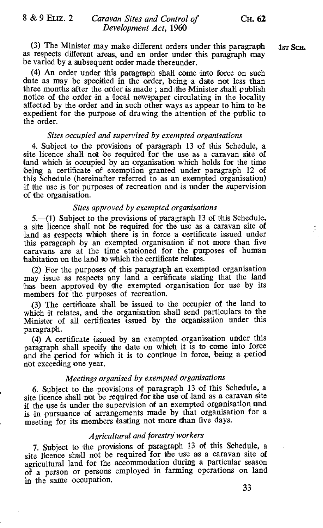## 8 & 9 ELIZ. 2 Caravan Sites and Control of CH. 62 Development Act, 1960

(3) The Minister may make different orders under this paragraph as respects different areas, and an order under this paragraph may be varied by <sup>a</sup>subsequent order made thereunder.

(4) An order under this paragraph shall come into force on such date as may be specified in the order, being a date not less than three months after the order is made ; and the Minister shall publish notice of the order in a local newspaper circulating in the locality affected by the order and in such other ways as appear to him to be expedient for the purpose of drawing the attention of the public to the order.

#### Sites occupied and supervised by exempted organisations

4. Subject to the provisions of paragraph 13 of this Schedule, a site licence shall not be required for the use as a caravan site of land which is occupied by an organisation which holds for the time being a certificate of exemption granted under paragraph 12 of this Schedule (hereinafter referred to as an exempted organisation) if the use is for purposes of recreation and is under the supervision of the organisation.

#### Sites approved by exempted organisations

 $5-(1)$  Subject to the provisions of paragraph 13 of this Schedule, a site licence shall not be required for the use as a caravan site of land as respects which there is in force a certificate issued under this paragraph by an exempted organisation if not more than five caravans are at the time stationed for the purposes of human habitation on the land to which the certificate relates.

(2) For the purposes of this paragraph an exempted organisation may issue as respects any land a certificate stating that the land has been approved by the exempted organisation for use by its members for the purposes of recreation.

(3) The certificate shall be issued to the occupier of the land to which it relates, and the organisation shall send particulars to the Minister of all certificates issued by the organisation under this paragraph.

(4) A certificate issued by an exempted organisation under this paragraph shall specify the date on which it is to come into force and the period for which it is to continue in force, being a period not exceeding one year.

## Meetings organised by exempted organisations

6. Subject to the provisions of paragraph 13 of this Schedule, a site licence shall not be required for the use of land as a caravan site if the use is under the supervision of an exempted organisation and is in pursuance of arrangements made by that organisation for a meeting for its members lasting not more than five days.

## Agricultural and forestry workers

7. Subject to the provisions of paragraph 13 of this Schedule, a site licence shall not be required for the use as a caravan site of agricultural land for the accommodation during a particular season of a person or persons employed in farming operations on land in the same occupation.

1sT SCH.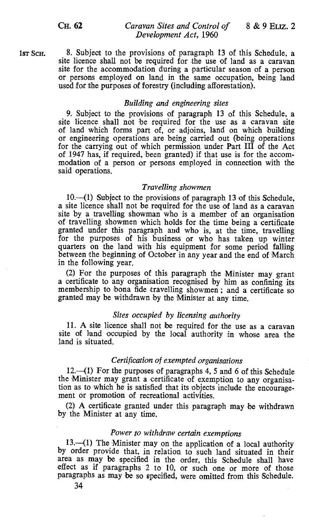## CH. 62 Caravan Sites and Control of 8 & 9 ELIZ. 2 Development Act, 1960

IST SCH. 8. Subject to the provisions of paragraph 13 of this Schedule, a site licence shall not be required for the use of land as a caravan site for the accommodation during a particular season of a person or persons employed on land in the same occupation, being land used for the purposes of forestry (including afforestation).

### Building and engineering sites

9. Subject to the provisions of paragraph 13 of this Schedule, a site licence shall not be required for the use as a caravan site of land which forms part of, or adjoins, land on which building or engineering operations are being carried out (being operations for the carrying out of which permission under Part III of the Act of 1947 has, if required, been granted) if that use is for the accommodation of a person or persons employed in connection with the said operations.

#### Travelling showmen

 $10.$   $\rightarrow$  (1) Subject to the provisions of paragraph 13 of this Schedule, a site licence shall not be required for the use of land as a caravan site by a travelling showman who is a member of an organisation of travelling showmen which holds for the time being a certificate granted under this paragraph and who is, at the time, travelling for the purposes of his business or who has taken up winter quarters on the land with his equipment for some period falling between the beginning of October in any year and the end of March in the following year.

(2) For the purposes of this paragraph the Minister may grant a certificate to any organisation recognised by him as confining its membership to bona fide travelling showmen ; and a certificate so granted may be withdrawn by the Minister at any time.

#### Sites occupied by licensing authority

11. A site licence shall not be required for the use as a caravan site of land occupied by the local authority in whose area the land is situated.

### Certification of exempted organisations

12. $-(1)$  For the purposes of paragraphs 4, 5 and 6 of this Schedule the Minister may grant a certificate of exemption to any organisation as to which he is satisfied that its objects include the encouragement or promotion of recreational activities.

(2) A certificate granted under this paragraph may be withdrawn by the Minister at any time.

## Power to withdraw certain exemptions

13.-(1) The Minister may on the application of a local authority by order provide that, in relation to such land situated in their area as may be specified in the order, this Schedule shall have effect as if paragraphs 2 to 10, or such one or more of those paragraphs as maybe so specified, were omitted from this Schedule.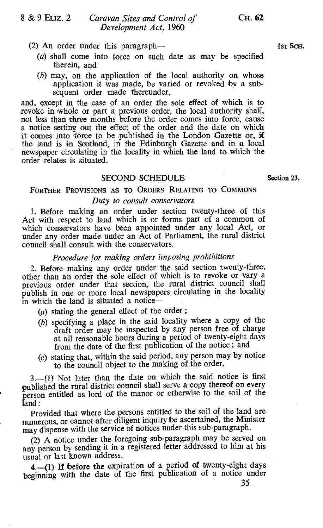(2) An order under this paragraph-

- (a) shall come into force on such date as may be specified therein, and
- (b) may, on the application of the local authority on whose application it was made, be varied or revoked by a subsequent order made thereunder,

and, except in the case of an order the sole effect of which is to revoke in whole or part a previous order, the local authority shall, not less than three months before the order comes into force, cause a notice setting out the effect of the order and the date on which it comes into force to be published in the London Gazette or, if the land is in Scotland, in the Edinburgh Gazette and in a local newspaper circulating in the locality in which the land to which the order relates is situated.

### SECOND SCHEDULE

Section 23.

## FURTHER PROVISIONS AS TO ORDERS RELATING TO COMMONS

#### Duty to consult conservators

1. Before making an order under section twenty-three of this Act with respect to land which is or forms part of a common of which conservators have been appointed under any local Act, or under any order made under an Act of Parliament, the rural district council shall consult with the conservators.

#### Procedure for making orders imposing prohibitions

2. Before making any order under the said section twenty-three, other than an order the sole effect of which is to revoke or vary a previous order under that section, the rural district council shall publish in one or more local newspapers circulating in the locality in which the land is situated a notice-

- (a) stating the general effect of the order ;
- (b) specifying a place in the said locality where a copy of the draft order may be inspected by any person free of charge at all reasonable hours during a period of twenty-eight days from the date of the first publication of the notice ; and
- (c) stating that, within the said period; any person may by notice to the council object to the making of the order.

3.-(1) Not later than the date on which the said notice is first published the rural district council shall serve a copy thereof on every person entitled as lord of the manor or otherwise to the soil of the land :

Provided that where the persons entitled to the soil of the land are numerous, or cannot after diligent inquiry be ascertained, the Minister may dispense with the service of notices under this sub-paragraph.

(2) A notice under the foregoing sub-paragraph may be served on any person by sending it in a registered letter addressed to him at his usual or last known address.

4.-(1) If before the expiration of a period of twenty-eight days beginning with the date of the first publication of a notice under 1ST ScH.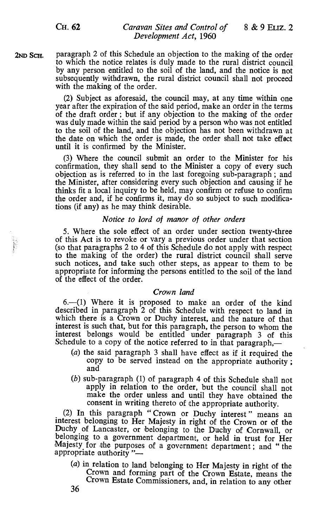2ND SCH. paragraph 2 of this Schedule an objection to the making of the order to which the notice relates is duly made to the rural district council by any person entitled to the soil of the land, and the notice is not subsequently withdrawn, the rural district council shall not proceed with the making of the order.

> (2) Subject as aforesaid, the council may, at any time within one year after the expiration of the said period, make an order in the terms of the draft order ; but if any objection to the making of the order was duly made within the said period by a person who was not entitled to the soil of the land, and the objection has not been withdrawn at the date on which the order is made, the order shall not take effect until it is confirmed by the Minister.

> (3) Where the council submit an order to the Minister for his confirmation, they shall send to the Minister a copy of every such objection as is referred to in the last foregoing sub-paragraph ; and the Minister, after considering every such objection and causing if he thinks fit a local inquiry to be held, may confirm or refuse to confirm the order and, if he confirms it, may do so subject to such modifications (if any) as he may think desirable.

#### Notice to lord of manor of other orders

5. Where the sole effect of an order under section twenty-three of this Act is to revoke or vary a previous order under that section (so that paragraphs 2 to 4 of this Schedule do not apply with respect to the making of the order) the rural district council shall serve such notices, and take such other steps, as appear to them to be appropriate for informing the persons entitled to the soil of the land of the effect of the order.

#### Crown land

6.-(1) Where it is proposed to make an order of the kind described in paragraph 2 of this Schedule with respect to land in which there is a Crown or Duchy interest, and the nature of that interest is such that, but for this paragraph, the person to whom the interest belongs would be entitled under paragraph 3 of this Schedule to a copy of the notice referred to in that paragraph.

- (a) the said paragraph 3 shall have effect as if it required the copy to be served instead on the appropriate authority ; and
- (b) sub-paragraph (1) of paragraph 4 of this Schedule shall not apply in relation to the order, but the council shall not make the order unless and until they have obtained the consent in writing thereto of the appropriate authority.

(2) In this paragraph " Crown or Duchy interest " means an interest belonging to Her Majesty in right of the Crown or of the Duchy of Lancaster, or belonging to the Duchy of Cornwall, or belonging to a government department, or held in trust for Her Majesty for the purposes of a government department; and " the appropriate authority  $"$ —

(a) in relation to land belonging to Her Majesty in right of the Crown and forming part of the Crown Estate, means the Crown Estate Commissioners, and, in relation to any other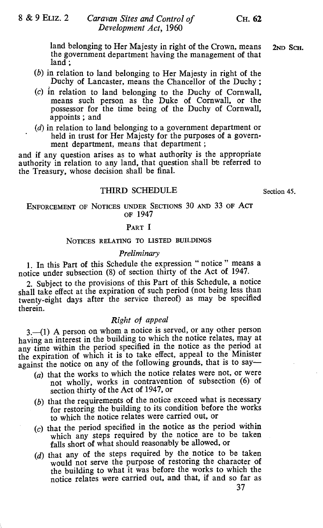land belonging to Her Majesty in right of the Crown, means 2ND SCH. the government department having the management of that land ;

- (b) in relation to land belonging to Her Majesty in right of the Duchy of Lancaster, means the Chancellor of the Duchy ;
- (c) in relation to land belonging to the Duchy of Cornwall, means such person as the Duke of Cornwall, or the possessor for the time being of the Duchy of Cornwall, appoints ; and
- (d) in relation to land belonging to a government department or held in trust for Her Majesty for the purposes of a government department, means that department ;

and if any question arises as to what authority is the appropriate authority in relation to any land, that question shall be referred to the Treasury, whose decision shall be final.

## THIRD SCHEDULE Section 45.

ENFORCEMENT OF NOTICES UNDER SECTIONS 30 AND 33 OF ACT OF 1947

#### PART I

#### NOTICES RELATING TO LISTED BUILDINGS

#### Preliminary

1. In this Part of this Schedule the expression " notice " means a notice under subsection (8) of section thirty of the Act of 1947.

2. Subject to the provisions of this Part of this Schedule, a notice shall take effect at the expiration of such period (not being less than twenty-eight days after the service thereof) as may be specified therein.

## Right of appeal

3.-(1) A person on whom a notice is served, or any other person having an interest in the building to which the notice relates, may at any time within the period specified in the notice as the period at the expiration of which it is to take effect, appeal to the Minister against the notice on any of the following grounds, that is to say-

- (a) that the works to which the notice relates were not, or were not wholly, works in contravention of subsection (6) of section thirty of the Act of 1947, or
- (b) that the requirements of the notice exceed what is necessary for restoring the building to its condition before the works to which the notice relates were carried out, or
- $(c)$  that the period specified in the notice as the period within which any steps required by the notice are to be taken falls short of what should reasonably be allowed, or
- $(d)$  that any of the steps required by the notice to be taken would not serve the purpose of restoring the character of the building to what it was before the works to which the notice relates were carried out, and that, if and so far as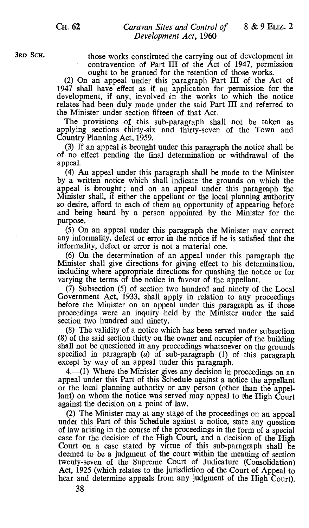3RD SCH. those works constituted the carrying out of development in contravention of Part III of the Act of 1947, permission ought to be granted for the retention of those works.

(2) On an appeal under this paragraph Part III of the Act of 1947 shall have effect as if an application for permission for the development, if any, involved in the works to which the notice relates had been duly made under the said Part III and referred to the Minister under section fifteen of that Act.

The provisions of this sub-paragraph shall not be taken as applying sections thirty-six and thirty-seven of the Town and Country Planning Act, 1959.

(3) If an appeal is brought under this paragraph the notice shall be of no effect pending the final determination or withdrawal of the appeal.

(4) An appeal under this paragraph shall be made to the Minister by a written notice which shall indicate the grounds on which the appeal is brought ; and on an appeal under this paragraph the Minister shall, if either the appellant or the local planning authority so desire, afford to each of them an opportunity of appearing before and being heard by a person appointed by the Minister for the purpose.

(5) On an appeal under this paragraph the Minister may correct any informality, defect or error in the notice if he is satisfied that the informality, defect or error is not a material one.

(6) On the determination of an appeal under this paragraph the Minister shall give directions for giving effect to his determination, including where appropriate directions for quashing the notice or for varying the terms of the notice in favour of the appellant.

(7) Subsection (5) of section two hundred and ninety of the Local Government Act, 1933, shall apply in relation to any proceedings before the Minister on an appeal under this paragraph as if those proceedings were an inquiry held by the Minister under the said section two hundred and ninety.

(8) The validity of a notice which has been served under subsection (8) of the said section thirty on the owner and occupier of the building shall not be questioned in any proceedings whatsoever on the grounds specified in paragraph  $(a)$  of sub-paragraph (1) of this paragraph except by way of an appeal under this paragraph.

4.--(1) Where the Minister gives any decision in proceedings on an appeal under this Part of this Schedule against a notice the appellant or the local planning authority or any person (other than the appellant) on whom the notice was served may appeal to the High Court against the decision on a point of law.

(2) The Minister may at any stage of the proceedings on an appeal under this Part of this Schedule against a notice, state any question of law arising in the course of the proceedings in the form of a special case for the decision of the High Court, and a decision of the High Court on a case stated by virtue of this sub-paragraph shall be deemed to be a judgment of the court within the meaning of section twenty-seven of the Supreme Court of Judicature (Consolidation) Act, 1925 (which relates to the jurisdiction of the Court of Appeal to hear and determine appeals from any judgment of the High Court).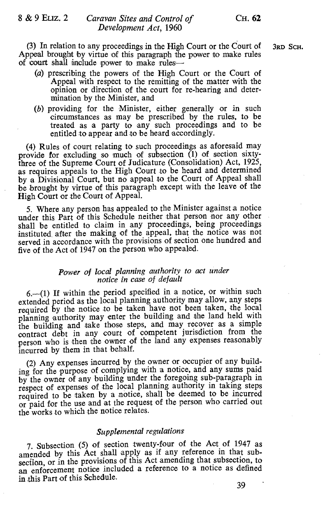(3) In relation to any proceedings in the High Court or the Court of Appeal brought by virtue of this paragraph the power to make rules of court shall include power to make rules--

- (a) prescribing the powers of the High Court or the Court of Appeal with respect to the remitting of the matter with the opinion or direction of the court for re-hearing and determination by the Minister, and
- (b) providing for the Minister, either generally or in such circumstances as may be prescribed by the rules, to be treated as a party to any such proceedings and to be entitled to appear and to be heard accordingly.

(4) Rules of court relating to such proceedings as aforesaid may provide for excluding so much of subsection (1) of section sixtythree of the Supreme Court of Judicature (Consolidation) Act, 1925, as requires appeals to the High Court to be heard and determined by a Divisional Court, but no appeal to the Court of Appeal shall be brought by virtue of this paragraph except with the leave of the High Court or the Court of Appeal.

5. Where any person has appealed to the Minister against a notice under this Part of this Schedule neither that person nor any other shall be entitled to claim in any proceedings, being proceedings instituted, after the making of the appeal, that the notice was not served in accordance with the provisions of section one hundred and five of the Act of 1947 on the person who appealed.

#### Power of local planning authority to act under notice in case of default

 $6-(1)$  If within the period specified in a notice, or within such extended period as the local planning authority may allow, any steps required by the notice to be taken have not been taken, the local planning authority may enter the building and the land held with the building and take those steps, and may recover as a simple contract debt in any court of competent jurisdiction from the person who is then the owner of the land any expenses reasonably incurred by them in that behalf.

(2) Any expenses incurred by the owner or occupier of any building for the purpose of complying with a notice, and any sums paid by the owner of any building under the foregoing sub-paragraph in respect of expenses of the local planning authority in taking steps required to be taken by a notice, shall be deemed to be incurred or paid for the use and at the request of the person who carried out the works to which the notice relates.

#### Supplemental regulations

7. Subsection (5) of section twenty-four of the Act of 1947 as amended by this Act shall apply as if any reference in that subsection, or in the provisions of this Act amending that subsection, to an enforcement notice included a reference to a notice as defined in this Part of this Schedule.

3RD SCH.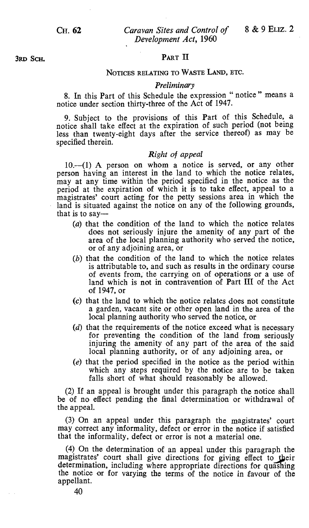## CH. 62 Caravan Sites and Control of 8 & 9 ELIZ. 2 Development Act, 1960

3RD SCH. PART II

#### NOTICES RELATING TO WASTE LAND, ETC.

#### Preliminary

8. In this Part of this Schedule the expression " notice" means a notice under section thirty-three of the Act of 1947.

9. Subject to the provisions of this Part of this Schedule, a notice shall take effect at the expiration of such period (not being less than twenty-eight days after the service thereof) as may be specified therein.

#### Right of appeal

10.-(1) A person on whom a notice is served, or any other person having an interest in the land to which the notice relates, may at any time within the period specified in the notice as the period at the expiration of which it is to take effect, appeal to a magistrates' court acting for the petty sessions area in which the land is situated against the notice on any of the following grounds, that is to say— $-$ 

- (a) that the condition of the land to which the notice relates does not seriously injure the amenity of any part of the area of the local planning authority who served the notice, or of any adjoining area, or
- (b) that the condition of the land to which the notice relates is attributable to, and such as results in the ordinary course of events from, the carrying on of operations or a use of land which is not in contravention of Part III of the Act of 1947, or
- (c) that the land to which the notice relates does not constitute a garden, vacant site or other open land in the area of the local planning authority who served the notice, or
- ( $d$ ) that the requirements of the notice exceed what is necessary for preventing the condition of the land from seriously injuring the amenity of any part of the area of the said local planning authority, or of any adjoining area, or
- (e) that the period specified in the notice as the period within which any steps required by the notice are to be taken falls short of what should reasonably be allowed.

(2) If an appeal is brought under this paragraph the notice shall be of no effect pending the final determination or withdrawal of the appeal.

(3) On an appeal under this paragraph the magistrates' court may correct any informality, defect or error in the notice if satisfied that the informality, defect or error is not a material one.

(4) On the determination of an appeal under this paragraph the magistrates' court shall give directions for giving effect to their determination, including where appropriate directions for quashing the notice or for varying the terms of the notice in favour of the appellant.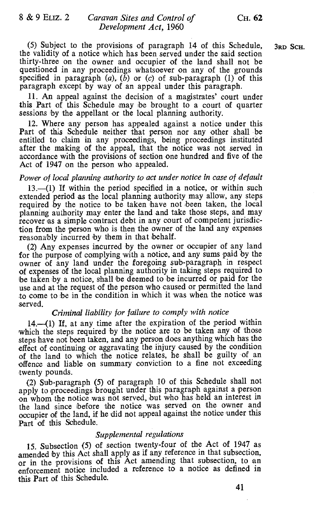## 8 & 9 ELIZ. 2 Caravan Sites and Control of CH. 62 Development Act, 1960

(5) Subject to the provisions of paragraph 14 of this Schedule, the validity of a notice which has been served under the said section thirty-three on the owner and occupier of the land shall not be questioned in any proceedings whatsoever on any of the grounds specified in paragraph  $(a)$ ,  $(b)$  or  $(c)$  of sub-paragraph  $(1)$  of this paragraph except by way of an appeal under this paragraph.

11. An appeal against the decision of a magistrates' court under this Part of this Schedule may be brought to a court of quarter sessions by the appellant or the local planning authority.

12. Where any person has appealed against a notice under this Part of this Schedule neither that person nor any other shall be entitled to claim in any proceedings, being proceedings instituted after the making of the appeal, that the notice was not served in accordance with the provisions of section one hundred and five of the Act of 1947 on the person who appealed.

#### Power of local planning authority to act under notice in case of default

 $13.$ — $(1)$  If within the period specified in a notice, or within such extended period as the local planning authority may allow, any steps required by the notice to be taken have not been taken, the local planning authority may enter the land and take those steps, and may recover as a simple contract debt in any court of competent jurisdiction from the person who is then the owner of the land any expenses reasonably incurred by them in that behalf.

(2) Any expenses incurred by the owner or occupier of any land for the purpose of complying with a notice, and any sums paid by the owner of any land under the foregoing sub-paragraph in respect of expenses of the local planning authority in taking steps required to be taken by a notice, shall 'be deemed to be incurred. or paid for the use and at the request of the person who caused or permitted the land to come to be in the condition in which it was when the notice was served.

#### Criminal liability for failure to comply with notice

14.--(1) If, at any time after the expiration of the period within which the steps required by the notice are to be taken any of those steps have not been taken, and any person does anything which has the effect of continuing or aggravating the injury caused by the condition of the land to which the notice relates, he shall be guilty -of an offence and liable on summary conviction to a fine not exceeding twenty pounds.

(2) Sub-paragraph (5) of paragraph 10 of this Schedule shall not apply to proceedings brought under this paragraph against a person on whom the notice was not served, but who has held an interest in the land since before the notice was served on the owner and occupier of the land, if he did not appeal against the notice under this Part of this Schedule.

#### Supplemental regulations

15. Subsection (5) of section twenty-four of the Act of 1947 as amended by this Act shall apply as if any reference in that subsection, or in the provisions of this Act amending that subsection, to an enforcement notice included a reference to a notice as defined in this Part of this Schedule.

3RD SCH.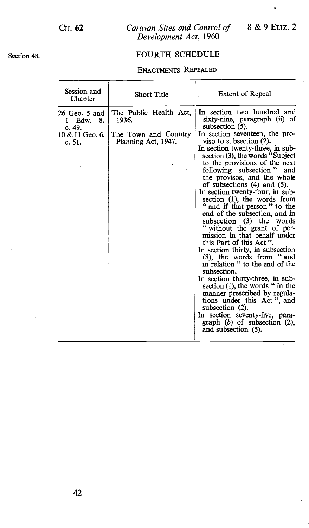×

## Section 48. FOURTH SCHEDULE

## ENACTMENTS REPEALED

 $\overline{\phantom{a}}$ 

| Session and<br>Chapter                                             | <b>Short Title</b>                                                             | <b>Extent of Repeal</b>                                                                                                                                                                                                                                                                                                                                                                                                                                                                                                                                                                                                                                                                                                                                                                                                                                                                                                                                                                   |
|--------------------------------------------------------------------|--------------------------------------------------------------------------------|-------------------------------------------------------------------------------------------------------------------------------------------------------------------------------------------------------------------------------------------------------------------------------------------------------------------------------------------------------------------------------------------------------------------------------------------------------------------------------------------------------------------------------------------------------------------------------------------------------------------------------------------------------------------------------------------------------------------------------------------------------------------------------------------------------------------------------------------------------------------------------------------------------------------------------------------------------------------------------------------|
| $26$ Geo. 5 and<br>1 Edw. 8.<br>c. 49.<br>10 & 11 Geo. 6.<br>c.51. | The Public Health Act,<br>1936.<br>The Town and Country<br>Planning Act, 1947. | In section two hundred and<br>sixty-nine, paragraph (ii) of<br>subsection (5).<br>In section seventeen, the pro-<br>viso to subsection (2).<br>In section twenty-three, in sub-<br>section (3), the words "Subject<br>to the provisions of the next<br>following subsection" and<br>the provisos, and the whole<br>of subsections $(4)$ and $(5)$ .<br>In section twenty-four, in sub-<br>section (1), the words from<br>" and if that person" to the<br>end of the subsection, and in<br>subsection (3) the words<br>"without the grant of per-<br>mission in that behalf under<br>this Part of this Act".<br>In section thirty, in subsection<br>(8), the words from "and<br>in relation " to the end of the<br>subsection.<br>In section thirty-three, in sub-<br>section $(1)$ , the words " in the<br>manner prescribed by regula-<br>tions under this Act", and<br>subsection $(2)$ .<br>In section seventy-five, para-<br>graph $(b)$ of subsection $(2)$ ,<br>and subsection (5). |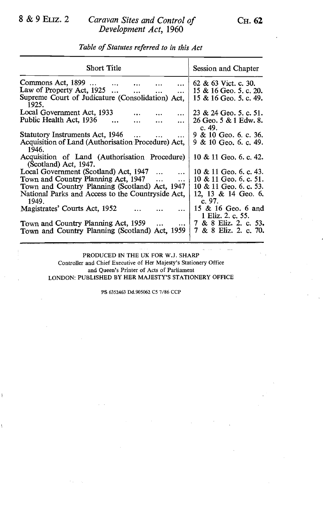| <b>Short Title</b>                                                                                                                                              | Session and Chapter                                                      |
|-----------------------------------------------------------------------------------------------------------------------------------------------------------------|--------------------------------------------------------------------------|
| Commons Act, 1899<br>$\ddotsc$<br>$\ddotsc$<br>Law of Property Act, 1925<br>$\ddotsc$<br>$\ddotsc$<br>Supreme Court of Judicature (Consolidation) Act,<br>1925. | 62 & 63 Vict. c. 30.<br>15 & 16 Geo. 5, c. 20,<br>15 & 16 Geo. 5, c. 49. |
| Local Government Act, 1933<br>Public Health Act, 1936<br>$\ddotsc$<br>$\ddotsc$                                                                                 | 23 & 24 Geo. 5. c. 51.<br>26 Geo. 5 & 1 Edw. 8.<br>c. 49.                |
| Statutory Instruments Act, 1946<br>Acquisition of Land (Authorisation Procedure) Act,<br>1946.                                                                  | 9 & 10 Geo. 6. c. 36.<br>9 & 10 Geo, 6, c, 49,                           |
| Acquisition of Land (Authorisation Procedure)<br>(Scotland) Act, 1947.                                                                                          | 10 & 11 Geo. 6, c. 42.                                                   |
| Local Government (Scotland) Act, 1947<br>$\cdots$<br>Town and Country Planning Act, 1947<br>                                                                    | 10 & 11 Geo, 6, c, 43.<br>10 & 11 Geo. 6, c. 51.                         |
| Town and Country Planning (Scotland) Act, 1947<br>National Parks and Access to the Countryside Act.                                                             | 10 & 11 Geo. 6. c. 53.<br>12, 13 & 14 Geo. 6.                            |
| 1949.                                                                                                                                                           | c. 97.                                                                   |
| Magistrates' Courts Act, 1952                                                                                                                                   | 15 & 16 Geo, 6 and<br>1 Eliz. 2. c. 55.                                  |
| Town and Country Planning Act, 1959<br>Town and Country Planning (Scotland) Act, 1959                                                                           | & 8 Eliz. 2. c. 53.<br>7<br>& 8 Eliz. 2. c. 70.<br>7                     |

Table of Statutes referred to in this Act

PRODUCED IN THE UK FOR W.J. SHARP Controller and Chief Executive of Her Majesty's Stationery Office and Queen's Printer of Acts of Parliament LONDON: PUBLISHED BY HER MAJESTY'S STATIONERY OFFICE

#### PS 6352463 Dd.905062 C5 7/86 CCP